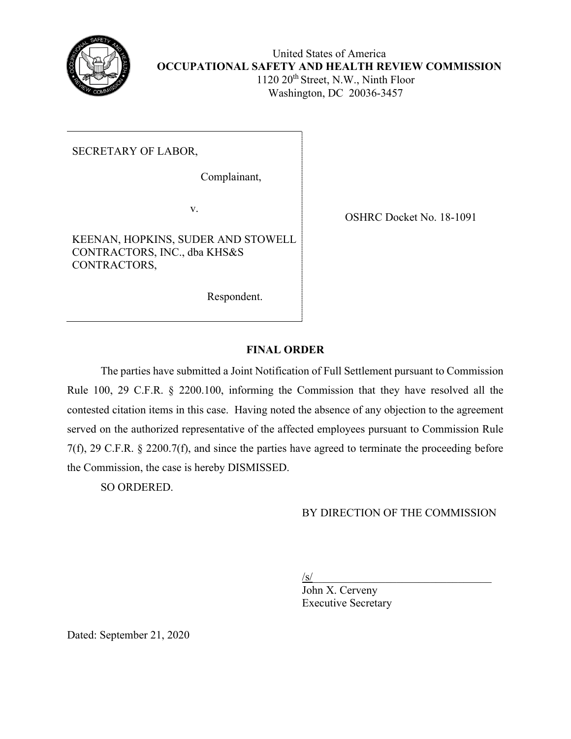

United States of America **OCCUPATIONAL SAFETY AND HEALTH REVIEW COMMISSION** 1120 20th Street, N.W., Ninth Floor Washington, DC 20036-3457

# SECRETARY OF LABOR,

Complainant,

v.

KEENAN, HOPKINS, SUDER AND STOWELL CONTRACTORS, INC., dba KHS&S CONTRACTORS,

Respondent.

OSHRC Docket No. 18-1091

# **FINAL ORDER**

The parties have submitted a Joint Notification of Full Settlement pursuant to Commission Rule 100, 29 C.F.R. § 2200.100, informing the Commission that they have resolved all the contested citation items in this case. Having noted the absence of any objection to the agreement served on the authorized representative of the affected employees pursuant to Commission Rule 7(f), 29 C.F.R. § 2200.7(f), and since the parties have agreed to terminate the proceeding before the Commission, the case is hereby DISMISSED.

SO ORDERED.

# BY DIRECTION OF THE COMMISSION

 $\sqrt{s}$ /s<sup> $\sqrt{s}$ </sup>/  $\sqrt{s}$  /s/  $\sqrt{s}$  /s/  $\sqrt{s}$  /s/  $\sqrt{s}$  /s/  $\sqrt{s}$  /s/  $\sqrt{s}$  /s/  $\sqrt{s}$  /s/  $\sqrt{s}$  /s/  $\sqrt{s}$  /s/  $\sqrt{s}$  /s/  $\sqrt{s}$  /s/  $\sqrt{s}$  /s/  $\sqrt{s}$  /s/  $\sqrt{s}$  /s/  $\sqrt{s}$  /s/  $\sqrt{s}$  /s/  $\sqrt{s}$  /s/  $\sqrt{s}$  /s/  $\sqrt{s}$ 

John X. Cerveny Executive Secretary

Dated: September 21, 2020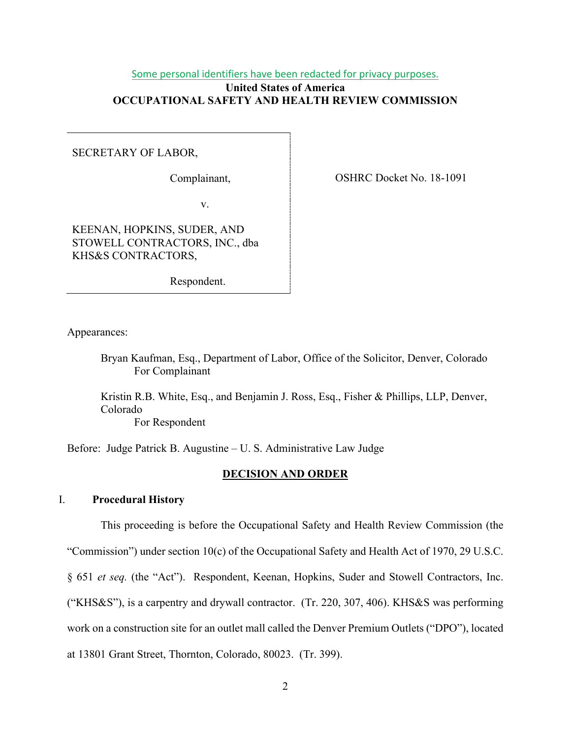## Some personal identifiers have been redacted for privacy purposes. **United States of America OCCUPATIONAL SAFETY AND HEALTH REVIEW COMMISSION**

SECRETARY OF LABOR,

Complainant,

OSHRC Docket No. 18-1091

v.

KEENAN, HOPKINS, SUDER, AND STOWELL CONTRACTORS, INC., dba KHS&S CONTRACTORS,

Respondent.

Appearances:

Bryan Kaufman, Esq., Department of Labor, Office of the Solicitor, Denver, Colorado For Complainant

Kristin R.B. White, Esq., and Benjamin J. Ross, Esq., Fisher & Phillips, LLP, Denver, Colorado For Respondent

Before: Judge Patrick B. Augustine – U. S. Administrative Law Judge

## **DECISION AND ORDER**

## I. **Procedural History**

This proceeding is before the Occupational Safety and Health Review Commission (the "Commission") under section 10(c) of the Occupational Safety and Health Act of 1970, 29 U.S.C. § 651 *et seq.* (the "Act"). Respondent, Keenan, Hopkins, Suder and Stowell Contractors, Inc. ("KHS&S"), is a carpentry and drywall contractor. (Tr. 220, 307, 406). KHS&S was performing work on a construction site for an outlet mall called the Denver Premium Outlets ("DPO"), located at 13801 Grant Street, Thornton, Colorado, 80023. (Tr. 399).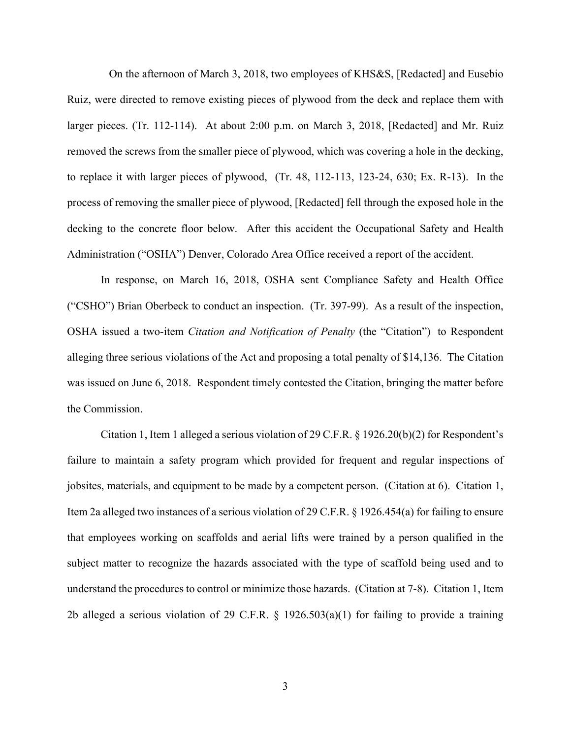On the afternoon of March 3, 2018, two employees of KHS&S, [Redacted] and Eusebio Ruiz, were directed to remove existing pieces of plywood from the deck and replace them with larger pieces. (Tr. 112-114). At about 2:00 p.m. on March 3, 2018, [Redacted] and Mr. Ruiz removed the screws from the smaller piece of plywood, which was covering a hole in the decking, to replace it with larger pieces of plywood, (Tr. 48, 112-113, 123-24, 630; Ex. R-13). In the process of removing the smaller piece of plywood, [Redacted] fell through the exposed hole in the decking to the concrete floor below. After this accident the Occupational Safety and Health Administration ("OSHA") Denver, Colorado Area Office received a report of the accident.

In response, on March 16, 2018, OSHA sent Compliance Safety and Health Office ("CSHO") Brian Oberbeck to conduct an inspection. (Tr. 397-99). As a result of the inspection, OSHA issued a two-item *Citation and Notification of Penalty* (the "Citation") to Respondent alleging three serious violations of the Act and proposing a total penalty of \$14,136. The Citation was issued on June 6, 2018. Respondent timely contested the Citation, bringing the matter before the Commission.

Citation 1, Item 1 alleged a serious violation of 29 C.F.R. § 1926.20(b)(2) for Respondent's failure to maintain a safety program which provided for frequent and regular inspections of jobsites, materials, and equipment to be made by a competent person. (Citation at 6). Citation 1, Item 2a alleged two instances of a serious violation of 29 C.F.R. § 1926.454(a) for failing to ensure that employees working on scaffolds and aerial lifts were trained by a person qualified in the subject matter to recognize the hazards associated with the type of scaffold being used and to understand the procedures to control or minimize those hazards. (Citation at 7-8). Citation 1, Item 2b alleged a serious violation of 29 C.F.R.  $\S$  1926.503(a)(1) for failing to provide a training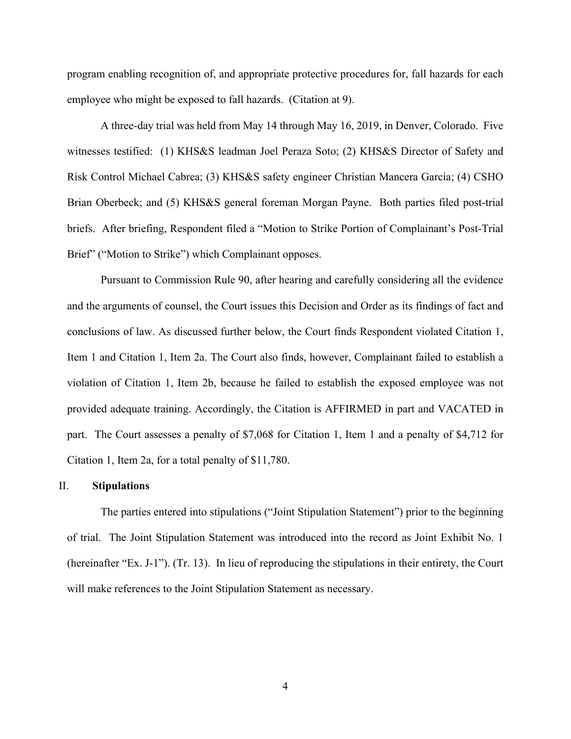program enabling recognition of, and appropriate protective procedures for, fall hazards for each employee who might be exposed to fall hazards. (Citation at 9).

A three-day trial was held from May 14 through May 16, 2019, in Denver, Colorado. Five witnesses testified: (1) KHS&S leadman Joel Peraza Soto; (2) KHS&S Director of Safety and Risk Control Michael Cabrea; (3) KHS&S safety engineer Christian Mancera Garcia; (4) CSHO Brian Oberbeck; and (5) KHS&S general foreman Morgan Payne. Both parties filed post-trial briefs. After briefing, Respondent filed a "Motion to Strike Portion of Complainant's Post-Trial Brief" ("Motion to Strike") which Complainant opposes.

Pursuant to Commission Rule 90, after hearing and carefully considering all the evidence and the arguments of counsel, the Court issues this Decision and Order as its findings of fact and conclusions of law. As discussed further below, the Court finds Respondent violated Citation 1, Item 1 and Citation 1, Item 2a. The Court also finds, however, Complainant failed to establish a violation of Citation 1, Item 2b, because he failed to establish the exposed employee was not provided adequate training. Accordingly, the Citation is AFFIRMED in part and VACATED in part. The Court assesses a penalty of \$7,068 for Citation 1, Item 1 and a penalty of \$4,712 for Citation 1, Item 2a, for a total penalty of \$11,780.

#### II. **Stipulations**

The parties entered into stipulations ("Joint Stipulation Statement") prior to the beginning of trial. The Joint Stipulation Statement was introduced into the record as Joint Exhibit No. 1 (hereinafter "Ex. J-1"). (Tr. 13). In lieu of reproducing the stipulations in their entirety, the Court will make references to the Joint Stipulation Statement as necessary.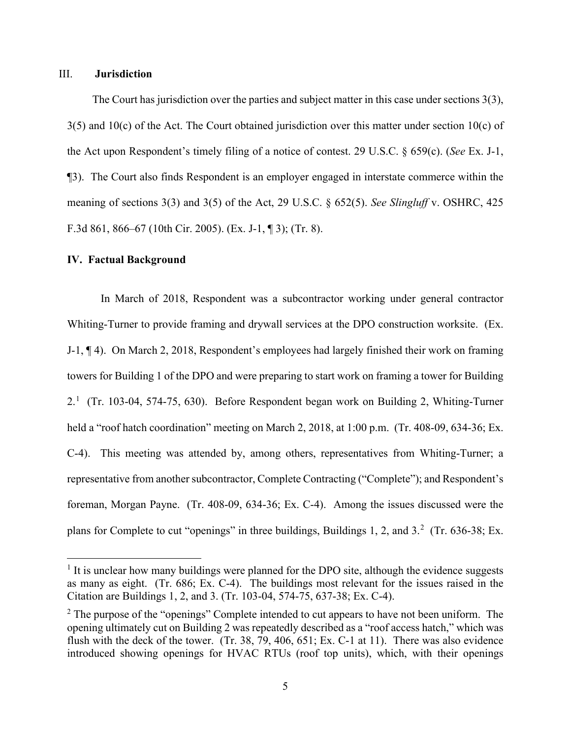### III. **Jurisdiction**

The Court has jurisdiction over the parties and subject matter in this case under sections 3(3),  $3(5)$  and  $10(c)$  of the Act. The Court obtained jurisdiction over this matter under section  $10(c)$  of the Act upon Respondent's timely filing of a notice of contest. 29 U.S.C. § 659(c). (*See* Ex. J-1, ¶3). The Court also finds Respondent is an employer engaged in interstate commerce within the meaning of sections 3(3) and 3(5) of the Act, 29 U.S.C. § 652(5). *See Slingluff* v. OSHRC, 425 F.3d 861, 866–67 (10th Cir. 2005). (Ex. J-1, ¶ 3); (Tr. 8).

### **IV. Factual Background**

In March of 2018, Respondent was a subcontractor working under general contractor Whiting-Turner to provide framing and drywall services at the DPO construction worksite. (Ex. J-1, ¶ 4). On March 2, 2018, Respondent's employees had largely finished their work on framing towers for Building 1 of the DPO and were preparing to start work on framing a tower for Building 2.<sup>[1](#page-4-0)</sup> (Tr. 103-04, 574-75, 630). Before Respondent began work on Building 2, Whiting-Turner held a "roof hatch coordination" meeting on March 2, 2018, at 1:00 p.m. (Tr. 408-09, 634-36; Ex. C-4). This meeting was attended by, among others, representatives from Whiting-Turner; a representative from another subcontractor, Complete Contracting ("Complete"); and Respondent's foreman, Morgan Payne. (Tr. 408-09, 634-36; Ex. C-4). Among the issues discussed were the plans for Complete to cut "openings" in three buildings, Buildings 1, [2](#page-4-1), and  $3.^2$  (Tr. 636-38; Ex.

<span id="page-4-0"></span> $<sup>1</sup>$  It is unclear how many buildings were planned for the DPO site, although the evidence suggests</sup> as many as eight. (Tr. 686; Ex. C-4). The buildings most relevant for the issues raised in the Citation are Buildings 1, 2, and 3. (Tr. 103-04, 574-75, 637-38; Ex. C-4).

<span id="page-4-1"></span> $2$  The purpose of the "openings" Complete intended to cut appears to have not been uniform. The opening ultimately cut on Building 2 was repeatedly described as a "roof access hatch," which was flush with the deck of the tower. (Tr. 38, 79, 406, 651; Ex. C-1 at 11). There was also evidence introduced showing openings for HVAC RTUs (roof top units), which, with their openings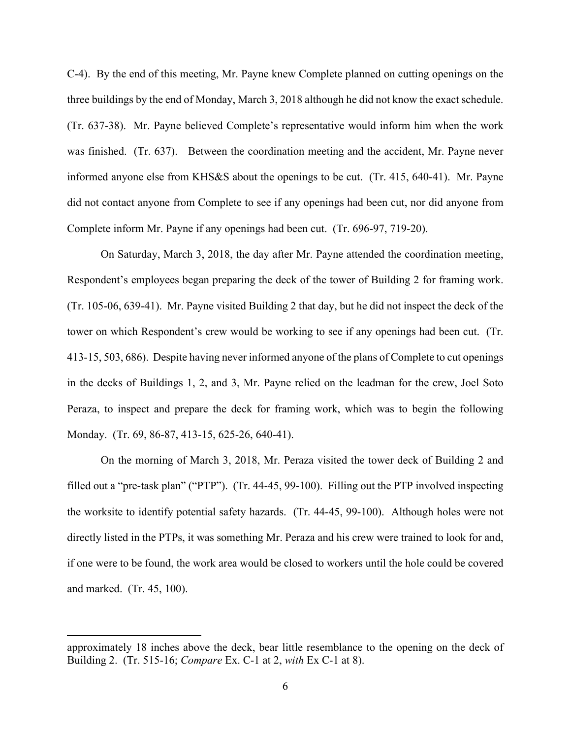C-4). By the end of this meeting, Mr. Payne knew Complete planned on cutting openings on the three buildings by the end of Monday, March 3, 2018 although he did not know the exact schedule. (Tr. 637-38). Mr. Payne believed Complete's representative would inform him when the work was finished. (Tr. 637). Between the coordination meeting and the accident, Mr. Payne never informed anyone else from KHS&S about the openings to be cut. (Tr. 415, 640-41). Mr. Payne did not contact anyone from Complete to see if any openings had been cut, nor did anyone from Complete inform Mr. Payne if any openings had been cut. (Tr. 696-97, 719-20).

On Saturday, March 3, 2018, the day after Mr. Payne attended the coordination meeting, Respondent's employees began preparing the deck of the tower of Building 2 for framing work. (Tr. 105-06, 639-41). Mr. Payne visited Building 2 that day, but he did not inspect the deck of the tower on which Respondent's crew would be working to see if any openings had been cut. (Tr. 413-15, 503, 686). Despite having never informed anyone of the plans of Complete to cut openings in the decks of Buildings 1, 2, and 3, Mr. Payne relied on the leadman for the crew, Joel Soto Peraza, to inspect and prepare the deck for framing work, which was to begin the following Monday. (Tr. 69, 86-87, 413-15, 625-26, 640-41).

 On the morning of March 3, 2018, Mr. Peraza visited the tower deck of Building 2 and filled out a "pre-task plan" ("PTP"). (Tr. 44-45, 99-100). Filling out the PTP involved inspecting the worksite to identify potential safety hazards. (Tr. 44-45, 99-100). Although holes were not directly listed in the PTPs, it was something Mr. Peraza and his crew were trained to look for and, if one were to be found, the work area would be closed to workers until the hole could be covered and marked. (Tr. 45, 100).

approximately 18 inches above the deck, bear little resemblance to the opening on the deck of Building 2. (Tr. 515-16; *Compare* Ex. C-1 at 2, *with* Ex C-1 at 8).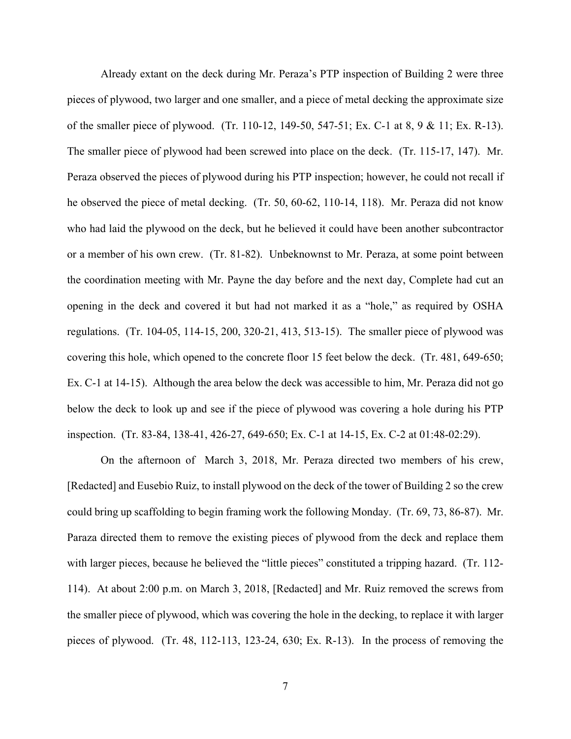Already extant on the deck during Mr. Peraza's PTP inspection of Building 2 were three pieces of plywood, two larger and one smaller, and a piece of metal decking the approximate size of the smaller piece of plywood. (Tr. 110-12, 149-50, 547-51; Ex. C-1 at 8, 9 & 11; Ex. R-13). The smaller piece of plywood had been screwed into place on the deck. (Tr. 115-17, 147). Mr. Peraza observed the pieces of plywood during his PTP inspection; however, he could not recall if he observed the piece of metal decking. (Tr. 50, 60-62, 110-14, 118). Mr. Peraza did not know who had laid the plywood on the deck, but he believed it could have been another subcontractor or a member of his own crew. (Tr. 81-82). Unbeknownst to Mr. Peraza, at some point between the coordination meeting with Mr. Payne the day before and the next day, Complete had cut an opening in the deck and covered it but had not marked it as a "hole," as required by OSHA regulations. (Tr. 104-05, 114-15, 200, 320-21, 413, 513-15). The smaller piece of plywood was covering this hole, which opened to the concrete floor 15 feet below the deck. (Tr. 481, 649-650; Ex. C-1 at 14-15). Although the area below the deck was accessible to him, Mr. Peraza did not go below the deck to look up and see if the piece of plywood was covering a hole during his PTP inspection. (Tr. 83-84, 138-41, 426-27, 649-650; Ex. C-1 at 14-15, Ex. C-2 at 01:48-02:29).

On the afternoon of March 3, 2018, Mr. Peraza directed two members of his crew, [Redacted] and Eusebio Ruiz, to install plywood on the deck of the tower of Building 2 so the crew could bring up scaffolding to begin framing work the following Monday. (Tr. 69, 73, 86-87). Mr. Paraza directed them to remove the existing pieces of plywood from the deck and replace them with larger pieces, because he believed the "little pieces" constituted a tripping hazard. (Tr. 112-114). At about 2:00 p.m. on March 3, 2018, [Redacted] and Mr. Ruiz removed the screws from the smaller piece of plywood, which was covering the hole in the decking, to replace it with larger pieces of plywood. (Tr. 48, 112-113, 123-24, 630; Ex. R-13). In the process of removing the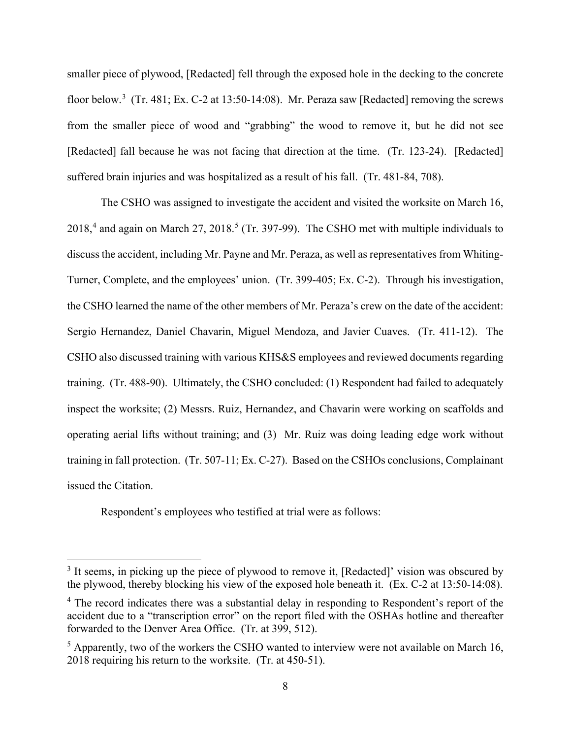smaller piece of plywood, [Redacted] fell through the exposed hole in the decking to the concrete floor below.<sup>[3](#page-7-0)</sup> (Tr. 481; Ex. C-2 at 13:50-14:08). Mr. Peraza saw [Redacted] removing the screws from the smaller piece of wood and "grabbing" the wood to remove it, but he did not see [Redacted] fall because he was not facing that direction at the time. (Tr. 123-24). [Redacted] suffered brain injuries and was hospitalized as a result of his fall. (Tr. 481-84, 708).

The CSHO was assigned to investigate the accident and visited the worksite on March 16,  $2018<sup>4</sup>$  $2018<sup>4</sup>$  $2018<sup>4</sup>$  and again on March 27, 2018.<sup>[5](#page-7-2)</sup> (Tr. 397-99). The CSHO met with multiple individuals to discuss the accident, including Mr. Payne and Mr. Peraza, as well as representatives from Whiting-Turner, Complete, and the employees' union. (Tr. 399-405; Ex. C-2). Through his investigation, the CSHO learned the name of the other members of Mr. Peraza's crew on the date of the accident: Sergio Hernandez, Daniel Chavarin, Miguel Mendoza, and Javier Cuaves. (Tr. 411-12). The CSHO also discussed training with various KHS&S employees and reviewed documents regarding training. (Tr. 488-90). Ultimately, the CSHO concluded: (1) Respondent had failed to adequately inspect the worksite; (2) Messrs. Ruiz, Hernandez, and Chavarin were working on scaffolds and operating aerial lifts without training; and (3) Mr. Ruiz was doing leading edge work without training in fall protection. (Tr. 507-11; Ex. C-27). Based on the CSHOs conclusions, Complainant issued the Citation.

Respondent's employees who testified at trial were as follows:

<span id="page-7-0"></span><sup>&</sup>lt;sup>3</sup> It seems, in picking up the piece of plywood to remove it, [Redacted]' vision was obscured by the plywood, thereby blocking his view of the exposed hole beneath it. (Ex. C-2 at 13:50-14:08).

<span id="page-7-1"></span><sup>&</sup>lt;sup>4</sup> The record indicates there was a substantial delay in responding to Respondent's report of the accident due to a "transcription error" on the report filed with the OSHAs hotline and thereafter forwarded to the Denver Area Office. (Tr. at 399, 512).

<span id="page-7-2"></span> $<sup>5</sup>$  Apparently, two of the workers the CSHO wanted to interview were not available on March 16,</sup> 2018 requiring his return to the worksite. (Tr. at 450-51).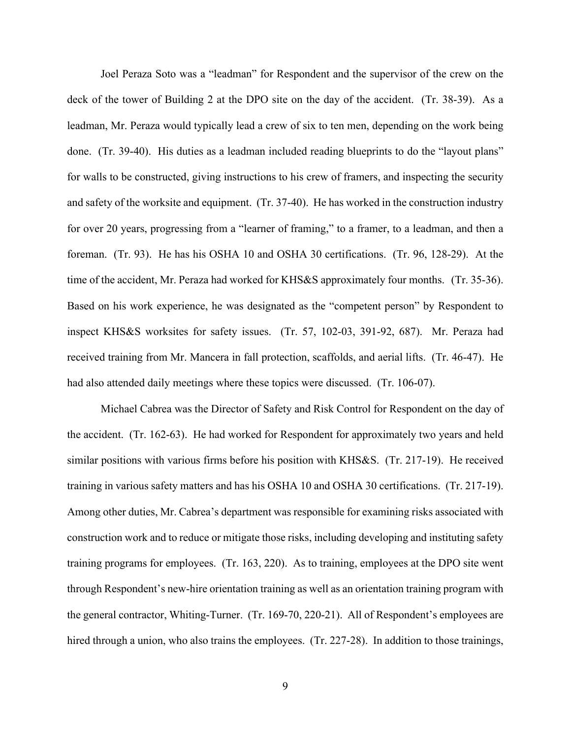Joel Peraza Soto was a "leadman" for Respondent and the supervisor of the crew on the deck of the tower of Building 2 at the DPO site on the day of the accident. (Tr. 38-39). As a leadman, Mr. Peraza would typically lead a crew of six to ten men, depending on the work being done. (Tr. 39-40). His duties as a leadman included reading blueprints to do the "layout plans" for walls to be constructed, giving instructions to his crew of framers, and inspecting the security and safety of the worksite and equipment. (Tr. 37-40). He has worked in the construction industry for over 20 years, progressing from a "learner of framing," to a framer, to a leadman, and then a foreman. (Tr. 93). He has his OSHA 10 and OSHA 30 certifications. (Tr. 96, 128-29). At the time of the accident, Mr. Peraza had worked for KHS&S approximately four months. (Tr. 35-36). Based on his work experience, he was designated as the "competent person" by Respondent to inspect KHS&S worksites for safety issues. (Tr. 57, 102-03, 391-92, 687). Mr. Peraza had received training from Mr. Mancera in fall protection, scaffolds, and aerial lifts. (Tr. 46-47). He had also attended daily meetings where these topics were discussed. (Tr. 106-07).

Michael Cabrea was the Director of Safety and Risk Control for Respondent on the day of the accident. (Tr. 162-63). He had worked for Respondent for approximately two years and held similar positions with various firms before his position with KHS&S. (Tr. 217-19). He received training in various safety matters and has his OSHA 10 and OSHA 30 certifications. (Tr. 217-19). Among other duties, Mr. Cabrea's department was responsible for examining risks associated with construction work and to reduce or mitigate those risks, including developing and instituting safety training programs for employees. (Tr. 163, 220). As to training, employees at the DPO site went through Respondent's new-hire orientation training as well as an orientation training program with the general contractor, Whiting-Turner. (Tr. 169-70, 220-21). All of Respondent's employees are hired through a union, who also trains the employees. (Tr. 227-28). In addition to those trainings,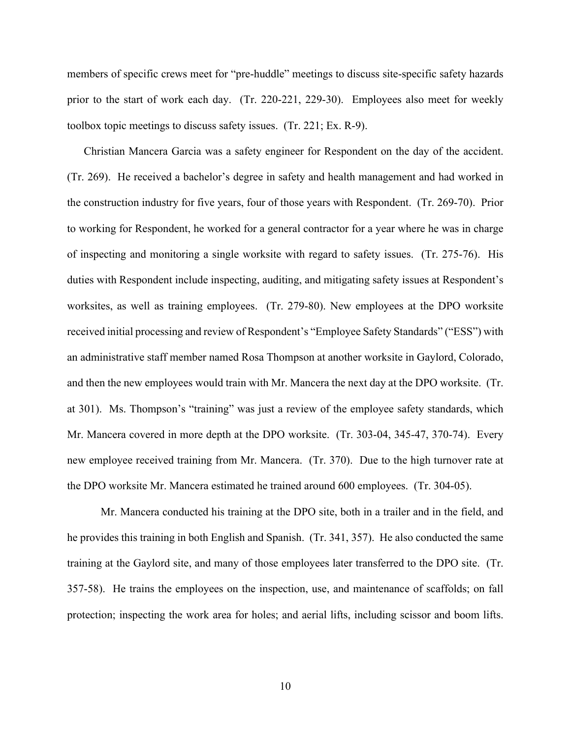members of specific crews meet for "pre-huddle" meetings to discuss site-specific safety hazards prior to the start of work each day. (Tr. 220-221, 229-30). Employees also meet for weekly toolbox topic meetings to discuss safety issues. (Tr. 221; Ex. R-9).

Christian Mancera Garcia was a safety engineer for Respondent on the day of the accident. (Tr. 269). He received a bachelor's degree in safety and health management and had worked in the construction industry for five years, four of those years with Respondent. (Tr. 269-70). Prior to working for Respondent, he worked for a general contractor for a year where he was in charge of inspecting and monitoring a single worksite with regard to safety issues. (Tr. 275-76). His duties with Respondent include inspecting, auditing, and mitigating safety issues at Respondent's worksites, as well as training employees. (Tr. 279-80). New employees at the DPO worksite received initial processing and review of Respondent's "Employee Safety Standards" ("ESS") with an administrative staff member named Rosa Thompson at another worksite in Gaylord, Colorado, and then the new employees would train with Mr. Mancera the next day at the DPO worksite. (Tr. at 301). Ms. Thompson's "training" was just a review of the employee safety standards, which Mr. Mancera covered in more depth at the DPO worksite. (Tr. 303-04, 345-47, 370-74). Every new employee received training from Mr. Mancera. (Tr. 370). Due to the high turnover rate at the DPO worksite Mr. Mancera estimated he trained around 600 employees. (Tr. 304-05).

Mr. Mancera conducted his training at the DPO site, both in a trailer and in the field, and he provides this training in both English and Spanish. (Tr. 341, 357). He also conducted the same training at the Gaylord site, and many of those employees later transferred to the DPO site. (Tr. 357-58). He trains the employees on the inspection, use, and maintenance of scaffolds; on fall protection; inspecting the work area for holes; and aerial lifts, including scissor and boom lifts.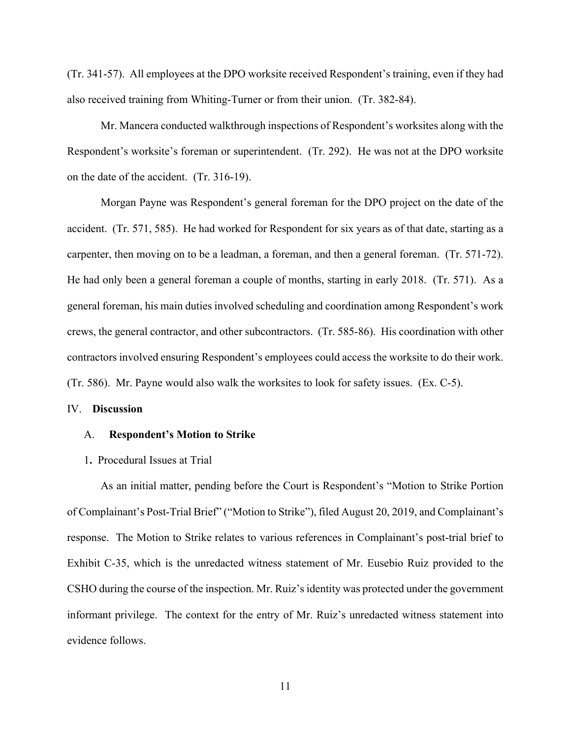(Tr. 341-57). All employees at the DPO worksite received Respondent's training, even if they had also received training from Whiting-Turner or from their union. (Tr. 382-84).

Mr. Mancera conducted walkthrough inspections of Respondent's worksites along with the Respondent's worksite's foreman or superintendent. (Tr. 292). He was not at the DPO worksite on the date of the accident. (Tr. 316-19).

Morgan Payne was Respondent's general foreman for the DPO project on the date of the accident. (Tr. 571, 585). He had worked for Respondent for six years as of that date, starting as a carpenter, then moving on to be a leadman, a foreman, and then a general foreman. (Tr. 571-72). He had only been a general foreman a couple of months, starting in early 2018. (Tr. 571). As a general foreman, his main duties involved scheduling and coordination among Respondent's work crews, the general contractor, and other subcontractors. (Tr. 585-86). His coordination with other contractors involved ensuring Respondent's employees could access the worksite to do their work. (Tr. 586). Mr. Payne would also walk the worksites to look for safety issues. (Ex. C-5).

#### IV. **Discussion**

#### A. **Respondent's Motion to Strike**

### 1**.** Procedural Issues at Trial

As an initial matter, pending before the Court is Respondent's "Motion to Strike Portion of Complainant's Post-Trial Brief" ("Motion to Strike"), filed August 20, 2019, and Complainant's response. The Motion to Strike relates to various references in Complainant's post-trial brief to Exhibit C-35, which is the unredacted witness statement of Mr. Eusebio Ruiz provided to the CSHO during the course of the inspection. Mr. Ruiz's identity was protected under the government informant privilege. The context for the entry of Mr. Ruiz's unredacted witness statement into evidence follows.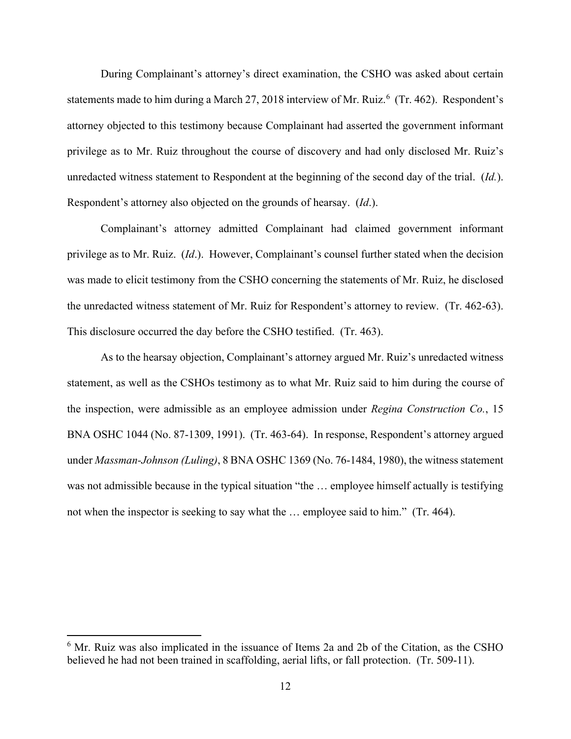During Complainant's attorney's direct examination, the CSHO was asked about certain statements made to him during a March 27, 2018 interview of Mr. Ruiz.<sup>[6](#page-11-0)</sup> (Tr. 462). Respondent's attorney objected to this testimony because Complainant had asserted the government informant privilege as to Mr. Ruiz throughout the course of discovery and had only disclosed Mr. Ruiz's unredacted witness statement to Respondent at the beginning of the second day of the trial. (*Id.*). Respondent's attorney also objected on the grounds of hearsay. (*Id*.).

Complainant's attorney admitted Complainant had claimed government informant privilege as to Mr. Ruiz. (*Id*.). However, Complainant's counsel further stated when the decision was made to elicit testimony from the CSHO concerning the statements of Mr. Ruiz, he disclosed the unredacted witness statement of Mr. Ruiz for Respondent's attorney to review. (Tr. 462-63). This disclosure occurred the day before the CSHO testified. (Tr. 463).

As to the hearsay objection, Complainant's attorney argued Mr. Ruiz's unredacted witness statement, as well as the CSHOs testimony as to what Mr. Ruiz said to him during the course of the inspection, were admissible as an employee admission under *Regina Construction Co.*, 15 BNA OSHC 1044 (No. 87-1309, 1991). (Tr. 463-64). In response, Respondent's attorney argued under *Massman-Johnson (Luling)*, 8 BNA OSHC 1369 (No. 76-1484, 1980), the witness statement was not admissible because in the typical situation "the … employee himself actually is testifying not when the inspector is seeking to say what the … employee said to him." (Tr. 464).

<span id="page-11-0"></span> $6$  Mr. Ruiz was also implicated in the issuance of Items 2a and 2b of the Citation, as the CSHO believed he had not been trained in scaffolding, aerial lifts, or fall protection. (Tr. 509-11).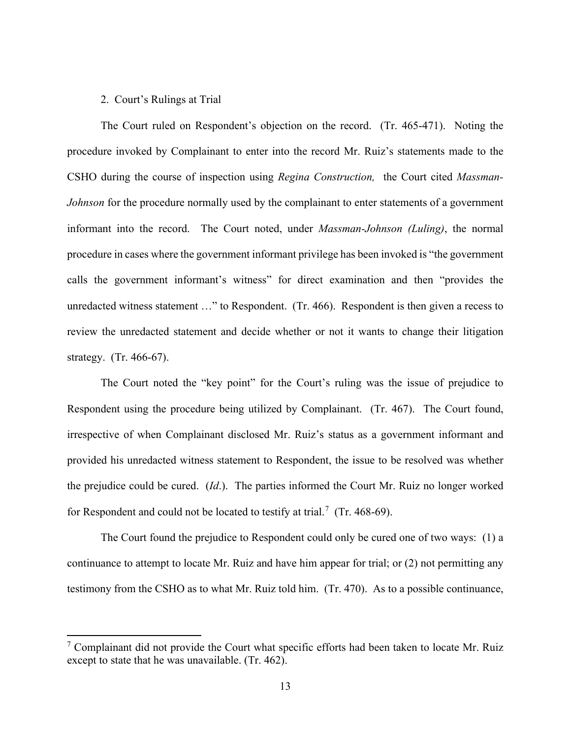### 2. Court's Rulings at Trial

The Court ruled on Respondent's objection on the record. (Tr. 465-471). Noting the procedure invoked by Complainant to enter into the record Mr. Ruiz's statements made to the CSHO during the course of inspection using *Regina Construction,* the Court cited *Massman-Johnson* for the procedure normally used by the complainant to enter statements of a government informant into the record. The Court noted, under *Massman-Johnson (Luling)*, the normal procedure in cases where the government informant privilege has been invoked is "the government calls the government informant's witness" for direct examination and then "provides the unredacted witness statement …" to Respondent. (Tr. 466). Respondent is then given a recess to review the unredacted statement and decide whether or not it wants to change their litigation strategy. (Tr. 466-67).

The Court noted the "key point" for the Court's ruling was the issue of prejudice to Respondent using the procedure being utilized by Complainant. (Tr. 467). The Court found, irrespective of when Complainant disclosed Mr. Ruiz's status as a government informant and provided his unredacted witness statement to Respondent, the issue to be resolved was whether the prejudice could be cured. (*Id*.). The parties informed the Court Mr. Ruiz no longer worked for Respondent and could not be located to testify at trial.<sup>[7](#page-12-0)</sup> (Tr. 468-69).

The Court found the prejudice to Respondent could only be cured one of two ways: (1) a continuance to attempt to locate Mr. Ruiz and have him appear for trial; or (2) not permitting any testimony from the CSHO as to what Mr. Ruiz told him. (Tr. 470). As to a possible continuance,

<span id="page-12-0"></span><sup>&</sup>lt;sup>7</sup> Complainant did not provide the Court what specific efforts had been taken to locate Mr. Ruiz except to state that he was unavailable. (Tr. 462).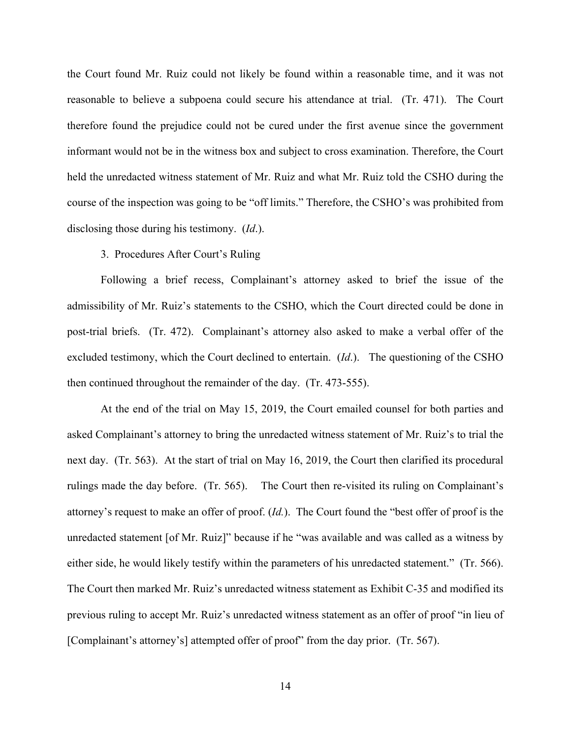the Court found Mr. Ruiz could not likely be found within a reasonable time, and it was not reasonable to believe a subpoena could secure his attendance at trial. (Tr. 471). The Court therefore found the prejudice could not be cured under the first avenue since the government informant would not be in the witness box and subject to cross examination. Therefore, the Court held the unredacted witness statement of Mr. Ruiz and what Mr. Ruiz told the CSHO during the course of the inspection was going to be "off limits." Therefore, the CSHO's was prohibited from disclosing those during his testimony. (*Id*.).

### 3. Procedures After Court's Ruling

Following a brief recess, Complainant's attorney asked to brief the issue of the admissibility of Mr. Ruiz's statements to the CSHO, which the Court directed could be done in post-trial briefs. (Tr. 472). Complainant's attorney also asked to make a verbal offer of the excluded testimony, which the Court declined to entertain. (*Id*.). The questioning of the CSHO then continued throughout the remainder of the day. (Tr. 473-555).

At the end of the trial on May 15, 2019, the Court emailed counsel for both parties and asked Complainant's attorney to bring the unredacted witness statement of Mr. Ruiz's to trial the next day. (Tr. 563). At the start of trial on May 16, 2019, the Court then clarified its procedural rulings made the day before. (Tr. 565). The Court then re-visited its ruling on Complainant's attorney's request to make an offer of proof. (*Id.*). The Court found the "best offer of proof is the unredacted statement [of Mr. Ruiz]" because if he "was available and was called as a witness by either side, he would likely testify within the parameters of his unredacted statement." (Tr. 566). The Court then marked Mr. Ruiz's unredacted witness statement as Exhibit C-35 and modified its previous ruling to accept Mr. Ruiz's unredacted witness statement as an offer of proof "in lieu of [Complainant's attorney's] attempted offer of proof" from the day prior. (Tr. 567).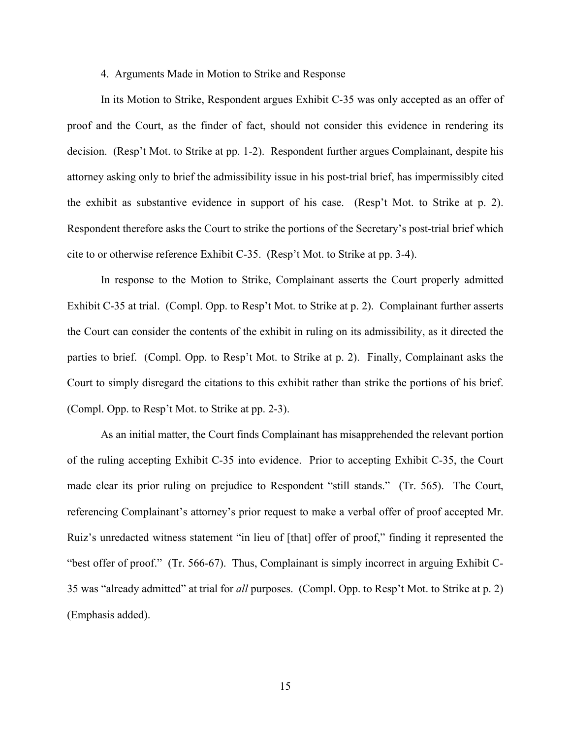#### 4. Arguments Made in Motion to Strike and Response

In its Motion to Strike, Respondent argues Exhibit C-35 was only accepted as an offer of proof and the Court, as the finder of fact, should not consider this evidence in rendering its decision. (Resp't Mot. to Strike at pp. 1-2). Respondent further argues Complainant, despite his attorney asking only to brief the admissibility issue in his post-trial brief, has impermissibly cited the exhibit as substantive evidence in support of his case. (Resp't Mot. to Strike at p. 2). Respondent therefore asks the Court to strike the portions of the Secretary's post-trial brief which cite to or otherwise reference Exhibit C-35. (Resp't Mot. to Strike at pp. 3-4).

In response to the Motion to Strike, Complainant asserts the Court properly admitted Exhibit C-35 at trial. (Compl. Opp. to Resp't Mot. to Strike at p. 2). Complainant further asserts the Court can consider the contents of the exhibit in ruling on its admissibility, as it directed the parties to brief. (Compl. Opp. to Resp't Mot. to Strike at p. 2). Finally, Complainant asks the Court to simply disregard the citations to this exhibit rather than strike the portions of his brief. (Compl. Opp. to Resp't Mot. to Strike at pp. 2-3).

As an initial matter, the Court finds Complainant has misapprehended the relevant portion of the ruling accepting Exhibit C-35 into evidence. Prior to accepting Exhibit C-35, the Court made clear its prior ruling on prejudice to Respondent "still stands." (Tr. 565). The Court, referencing Complainant's attorney's prior request to make a verbal offer of proof accepted Mr. Ruiz's unredacted witness statement "in lieu of [that] offer of proof," finding it represented the "best offer of proof." (Tr. 566-67). Thus, Complainant is simply incorrect in arguing Exhibit C-35 was "already admitted" at trial for *all* purposes. (Compl. Opp. to Resp't Mot. to Strike at p. 2) (Emphasis added).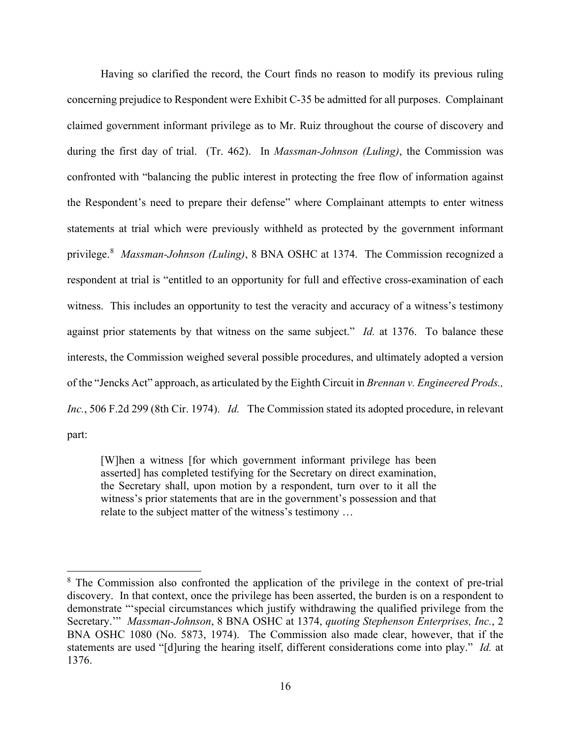Having so clarified the record, the Court finds no reason to modify its previous ruling concerning prejudice to Respondent were Exhibit C-35 be admitted for all purposes. Complainant claimed government informant privilege as to Mr. Ruiz throughout the course of discovery and during the first day of trial. (Tr. 462). In *Massman-Johnson (Luling)*, the Commission was confronted with "balancing the public interest in protecting the free flow of information against the Respondent's need to prepare their defense" where Complainant attempts to enter witness statements at trial which were previously withheld as protected by the government informant privilege.[8](#page-15-0) *Massman-Johnson (Luling)*, 8 BNA OSHC at 1374. The Commission recognized a respondent at trial is "entitled to an opportunity for full and effective cross-examination of each witness. This includes an opportunity to test the veracity and accuracy of a witness's testimony against prior statements by that witness on the same subject." *Id.* at 1376. To balance these interests, the Commission weighed several possible procedures, and ultimately adopted a version of the "Jencks Act" approach, as articulated by the Eighth Circuit in *Brennan v. Engineered Prods., Inc.*, 506 F.2d 299 (8th Cir. 1974). *Id.* The Commission stated its adopted procedure, in relevant part:

[W]hen a witness [for which government informant privilege has been asserted] has completed testifying for the Secretary on direct examination, the Secretary shall, upon motion by a respondent, turn over to it all the witness's prior statements that are in the government's possession and that relate to the subject matter of the witness's testimony …

<span id="page-15-0"></span><sup>&</sup>lt;sup>8</sup> The Commission also confronted the application of the privilege in the context of pre-trial discovery. In that context, once the privilege has been asserted, the burden is on a respondent to demonstrate "'special circumstances which justify withdrawing the qualified privilege from the Secretary.'" *Massman-Johnson*, 8 BNA OSHC at 1374, *quoting Stephenson Enterprises, Inc.*, 2 BNA OSHC 1080 (No. 5873, 1974). The Commission also made clear, however, that if the statements are used "[d]uring the hearing itself, different considerations come into play." *Id.* at 1376.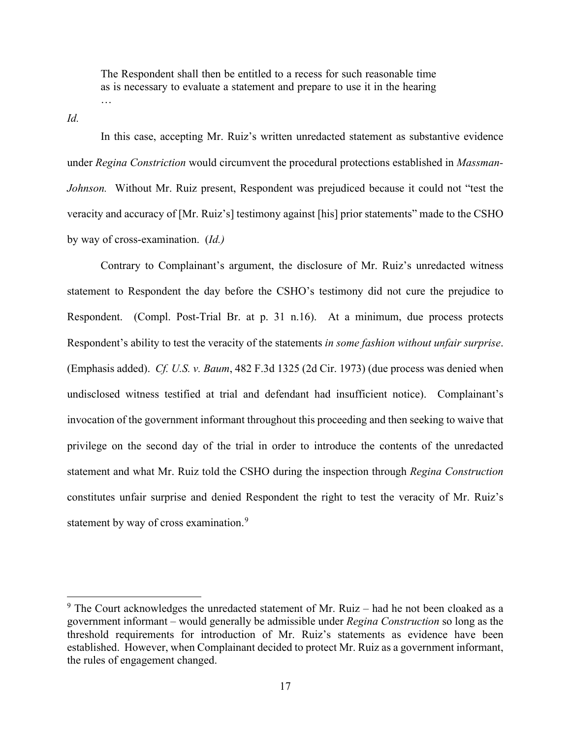The Respondent shall then be entitled to a recess for such reasonable time as is necessary to evaluate a statement and prepare to use it in the hearing …

*Id.*

In this case, accepting Mr. Ruiz's written unredacted statement as substantive evidence under *Regina Constriction* would circumvent the procedural protections established in *Massman-Johnson.* Without Mr. Ruiz present, Respondent was prejudiced because it could not "test the veracity and accuracy of [Mr. Ruiz's] testimony against [his] prior statements" made to the CSHO by way of cross-examination. (*Id.)*

Contrary to Complainant's argument, the disclosure of Mr. Ruiz's unredacted witness statement to Respondent the day before the CSHO's testimony did not cure the prejudice to Respondent. (Compl. Post-Trial Br. at p. 31 n.16). At a minimum, due process protects Respondent's ability to test the veracity of the statements *in some fashion without unfair surprise*. (Emphasis added). *Cf. U.S. v. Baum*, 482 F.3d 1325 (2d Cir. 1973) (due process was denied when undisclosed witness testified at trial and defendant had insufficient notice). Complainant's invocation of the government informant throughout this proceeding and then seeking to waive that privilege on the second day of the trial in order to introduce the contents of the unredacted statement and what Mr. Ruiz told the CSHO during the inspection through *Regina Construction* constitutes unfair surprise and denied Respondent the right to test the veracity of Mr. Ruiz's statement by way of cross examination.<sup>[9](#page-16-0)</sup>

<span id="page-16-0"></span> $9$  The Court acknowledges the unredacted statement of Mr. Ruiz – had he not been cloaked as a government informant – would generally be admissible under *Regina Construction* so long as the threshold requirements for introduction of Mr. Ruiz's statements as evidence have been established. However, when Complainant decided to protect Mr. Ruiz as a government informant, the rules of engagement changed.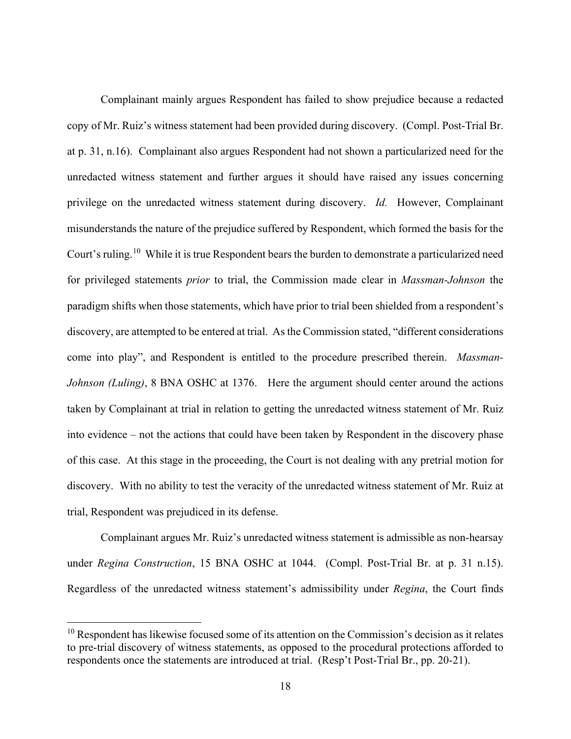Complainant mainly argues Respondent has failed to show prejudice because a redacted copy of Mr. Ruiz's witness statement had been provided during discovery. (Compl. Post-Trial Br. at p. 31, n.16). Complainant also argues Respondent had not shown a particularized need for the unredacted witness statement and further argues it should have raised any issues concerning privilege on the unredacted witness statement during discovery. *Id.* However, Complainant misunderstands the nature of the prejudice suffered by Respondent, which formed the basis for the Court's ruling.<sup>10</sup> While it is true Respondent bears the burden to demonstrate a particularized need for privileged statements *prior* to trial, the Commission made clear in *Massman-Johnson* the paradigm shifts when those statements, which have prior to trial been shielded from a respondent's discovery, are attempted to be entered at trial. As the Commission stated, "different considerations come into play", and Respondent is entitled to the procedure prescribed therein. *Massman-Johnson (Luling)*, 8 BNA OSHC at 1376. Here the argument should center around the actions taken by Complainant at trial in relation to getting the unredacted witness statement of Mr. Ruiz into evidence – not the actions that could have been taken by Respondent in the discovery phase of this case. At this stage in the proceeding, the Court is not dealing with any pretrial motion for discovery. With no ability to test the veracity of the unredacted witness statement of Mr. Ruiz at trial, Respondent was prejudiced in its defense.

Complainant argues Mr. Ruiz's unredacted witness statement is admissible as non-hearsay under *Regina Construction*, 15 BNA OSHC at 1044. (Compl. Post-Trial Br. at p. 31 n.15). Regardless of the unredacted witness statement's admissibility under *Regina*, the Court finds

<span id="page-17-0"></span> $10$  Respondent has likewise focused some of its attention on the Commission's decision as it relates to pre-trial discovery of witness statements, as opposed to the procedural protections afforded to respondents once the statements are introduced at trial. (Resp't Post-Trial Br., pp. 20-21).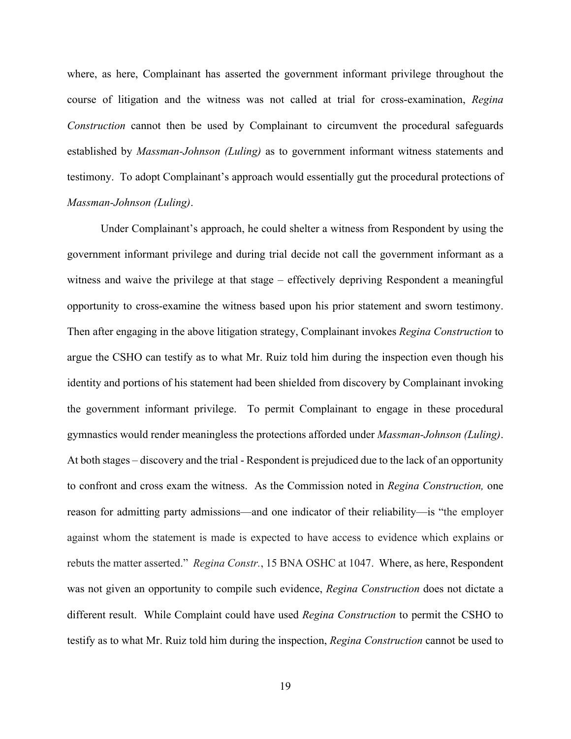where, as here, Complainant has asserted the government informant privilege throughout the course of litigation and the witness was not called at trial for cross-examination, *Regina Construction* cannot then be used by Complainant to circumvent the procedural safeguards established by *Massman-Johnson (Luling)* as to government informant witness statements and testimony. To adopt Complainant's approach would essentially gut the procedural protections of *Massman-Johnson (Luling)*.

Under Complainant's approach, he could shelter a witness from Respondent by using the government informant privilege and during trial decide not call the government informant as a witness and waive the privilege at that stage – effectively depriving Respondent a meaningful opportunity to cross-examine the witness based upon his prior statement and sworn testimony. Then after engaging in the above litigation strategy, Complainant invokes *Regina Construction* to argue the CSHO can testify as to what Mr. Ruiz told him during the inspection even though his identity and portions of his statement had been shielded from discovery by Complainant invoking the government informant privilege. To permit Complainant to engage in these procedural gymnastics would render meaningless the protections afforded under *Massman-Johnson (Luling)*. At both stages – discovery and the trial - Respondent is prejudiced due to the lack of an opportunity to confront and cross exam the witness. As the Commission noted in *Regina Construction,* one reason for admitting party admissions—and one indicator of their reliability—is "the employer against whom the statement is made is expected to have access to evidence which explains or rebuts the matter asserted." *Regina Constr.*, 15 BNA OSHC at 1047. Where, as here, Respondent was not given an opportunity to compile such evidence, *Regina Construction* does not dictate a different result. While Complaint could have used *Regina Construction* to permit the CSHO to testify as to what Mr. Ruiz told him during the inspection, *Regina Construction* cannot be used to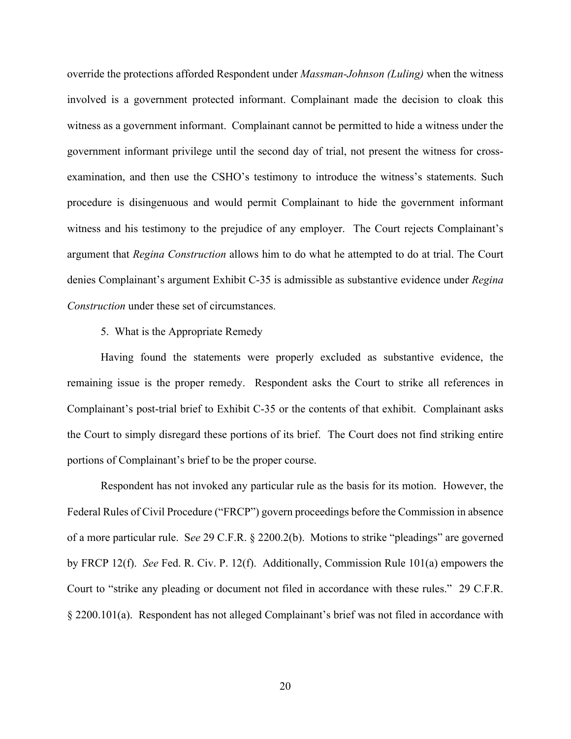override the protections afforded Respondent under *Massman-Johnson (Luling)* when the witness involved is a government protected informant. Complainant made the decision to cloak this witness as a government informant. Complainant cannot be permitted to hide a witness under the government informant privilege until the second day of trial, not present the witness for crossexamination, and then use the CSHO's testimony to introduce the witness's statements. Such procedure is disingenuous and would permit Complainant to hide the government informant witness and his testimony to the prejudice of any employer. The Court rejects Complainant's argument that *Regina Construction* allows him to do what he attempted to do at trial. The Court denies Complainant's argument Exhibit C-35 is admissible as substantive evidence under *Regina Construction* under these set of circumstances.

#### 5. What is the Appropriate Remedy

Having found the statements were properly excluded as substantive evidence, the remaining issue is the proper remedy. Respondent asks the Court to strike all references in Complainant's post-trial brief to Exhibit C-35 or the contents of that exhibit. Complainant asks the Court to simply disregard these portions of its brief. The Court does not find striking entire portions of Complainant's brief to be the proper course.

Respondent has not invoked any particular rule as the basis for its motion. However, the Federal Rules of Civil Procedure ("FRCP") govern proceedings before the Commission in absence of a more particular rule. S*ee* 29 C.F.R. § 2200.2(b). Motions to strike "pleadings" are governed by FRCP 12(f). *See* Fed. R. Civ. P. 12(f). Additionally, Commission Rule 101(a) empowers the Court to "strike any pleading or document not filed in accordance with these rules." 29 C.F.R. § 2200.101(a). Respondent has not alleged Complainant's brief was not filed in accordance with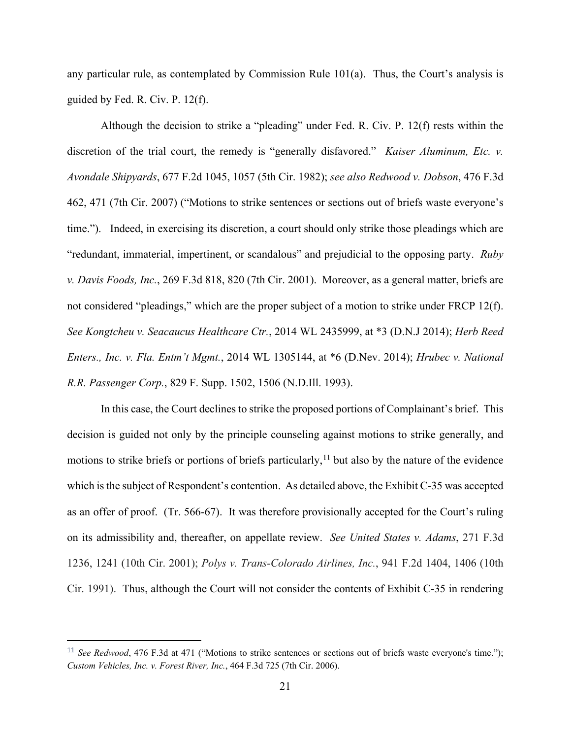any particular rule, as contemplated by Commission Rule  $101(a)$ . Thus, the Court's analysis is guided by Fed. R. Civ. P. 12(f).

Although the decision to strike a "pleading" under Fed. R. Civ. P. 12(f) rests within the discretion of the trial court, the remedy is "generally disfavored." *Kaiser Aluminum, Etc. v. Avondale Shipyards*, 677 F.2d 1045, 1057 (5th Cir. 1982); *see also Redwood v. Dobson*, 476 F.3d 462, 471 (7th Cir. 2007) ("Motions to strike sentences or sections out of briefs waste everyone's time."). Indeed, in exercising its discretion, a court should only strike those pleadings which are "redundant, immaterial, impertinent, or scandalous" and prejudicial to the opposing party. *Ruby v. Davis Foods, Inc.*, 269 F.3d 818, 820 (7th Cir. 2001). Moreover, as a general matter, briefs are not considered "pleadings," which are the proper subject of a motion to strike under FRCP 12(f). *See Kongtcheu v. Seacaucus Healthcare Ctr.*, 2014 WL 2435999, at \*3 (D.N.J 2014); *Herb Reed Enters., Inc. v. Fla. Entm't Mgmt.*, 2014 WL 1305144, at \*6 (D.Nev. 2014); *Hrubec v. National R.R. Passenger Corp.*, 829 F. Supp. 1502, 1506 (N.D.Ill. 1993).

In this case, the Court declines to strike the proposed portions of Complainant's brief. This decision is guided not only by the principle counseling against motions to strike generally, and motions to strike briefs or portions of briefs particularly,<sup>[11](#page-20-0)</sup> but also by the nature of the evidence which is the subject of Respondent's contention. As detailed above, the Exhibit C-35 was accepted as an offer of proof. (Tr. 566-67). It was therefore provisionally accepted for the Court's ruling on its admissibility and, thereafter, on appellate review. *See United States v. Adams*, 271 F.3d 1236, 1241 (10th Cir. 2001); *Polys v. Trans-Colorado Airlines, Inc.*, 941 F.2d 1404, 1406 (10th Cir. 1991). Thus, although the Court will not consider the contents of Exhibit C-35 in rendering

<span id="page-20-0"></span><sup>&</sup>lt;sup>11</sup> *See Redwood*, 476 F.3d at 471 ("Motions to strike sentences or sections out of briefs waste everyone's time."); *Custom Vehicles, Inc. v. Forest River, Inc.*, 464 F.3d 725 (7th Cir. 2006).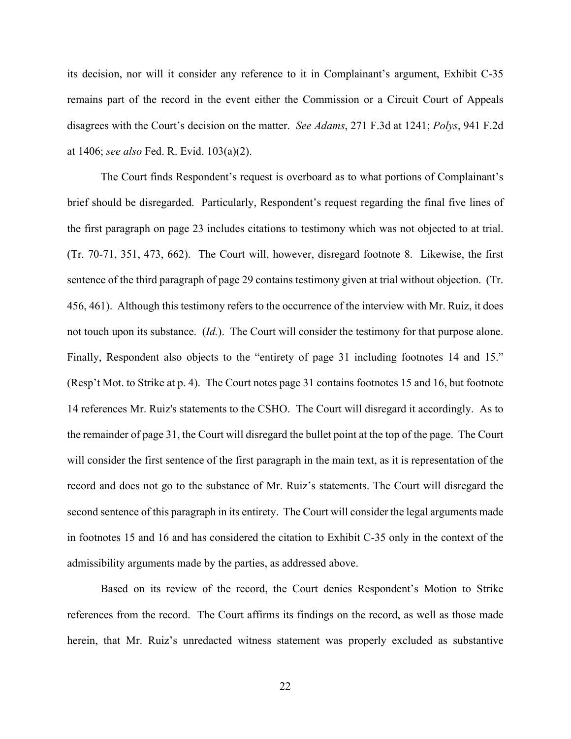its decision, nor will it consider any reference to it in Complainant's argument, Exhibit C-35 remains part of the record in the event either the Commission or a Circuit Court of Appeals disagrees with the Court's decision on the matter. *See Adams*, 271 F.3d at 1241; *Polys*, 941 F.2d at 1406; *see also* Fed. R. Evid. 103(a)(2).

The Court finds Respondent's request is overboard as to what portions of Complainant's brief should be disregarded. Particularly, Respondent's request regarding the final five lines of the first paragraph on page 23 includes citations to testimony which was not objected to at trial. (Tr. 70-71, 351, 473, 662). The Court will, however, disregard footnote 8. Likewise, the first sentence of the third paragraph of page 29 contains testimony given at trial without objection. (Tr. 456, 461). Although this testimony refers to the occurrence of the interview with Mr. Ruiz, it does not touch upon its substance. (*Id.*). The Court will consider the testimony for that purpose alone. Finally, Respondent also objects to the "entirety of page 31 including footnotes 14 and 15." (Resp't Mot. to Strike at p. 4). The Court notes page 31 contains footnotes 15 and 16, but footnote 14 references Mr. Ruiz's statements to the CSHO. The Court will disregard it accordingly. As to the remainder of page 31, the Court will disregard the bullet point at the top of the page. The Court will consider the first sentence of the first paragraph in the main text, as it is representation of the record and does not go to the substance of Mr. Ruiz's statements. The Court will disregard the second sentence of this paragraph in its entirety. The Court will consider the legal arguments made in footnotes 15 and 16 and has considered the citation to Exhibit C-35 only in the context of the admissibility arguments made by the parties, as addressed above.

Based on its review of the record, the Court denies Respondent's Motion to Strike references from the record. The Court affirms its findings on the record, as well as those made herein, that Mr. Ruiz's unredacted witness statement was properly excluded as substantive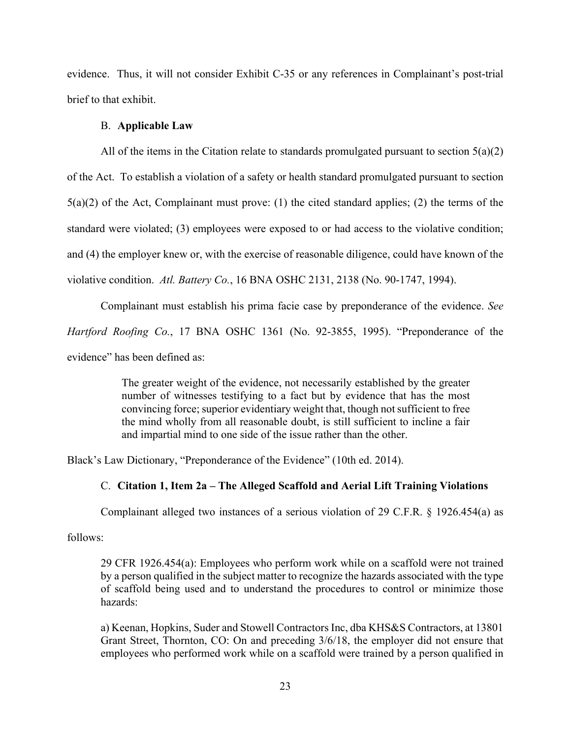evidence. Thus, it will not consider Exhibit C-35 or any references in Complainant's post-trial brief to that exhibit.

### B. **Applicable Law**

All of the items in the Citation relate to standards promulgated pursuant to section 5(a)(2) of the Act. To establish a violation of a safety or health standard promulgated pursuant to section 5(a)(2) of the Act, Complainant must prove: (1) the cited standard applies; (2) the terms of the standard were violated; (3) employees were exposed to or had access to the violative condition; and (4) the employer knew or, with the exercise of reasonable diligence, could have known of the violative condition. *Atl. Battery Co.*, 16 BNA OSHC 2131, 2138 (No. 90-1747, 1994).

Complainant must establish his prima facie case by preponderance of the evidence. *See Hartford Roofing Co.*, 17 BNA OSHC 1361 (No. 92-3855, 1995). "Preponderance of the evidence" has been defined as:

> The greater weight of the evidence, not necessarily established by the greater number of witnesses testifying to a fact but by evidence that has the most convincing force; superior evidentiary weight that, though not sufficient to free the mind wholly from all reasonable doubt, is still sufficient to incline a fair and impartial mind to one side of the issue rather than the other.

Black's Law Dictionary, "Preponderance of the Evidence" (10th ed. 2014).

### C. **Citation 1, Item 2a – The Alleged Scaffold and Aerial Lift Training Violations**

Complainant alleged two instances of a serious violation of 29 C.F.R. § 1926.454(a) as

follows:

29 CFR 1926.454(a): Employees who perform work while on a scaffold were not trained by a person qualified in the subject matter to recognize the hazards associated with the type of scaffold being used and to understand the procedures to control or minimize those hazards:

a) Keenan, Hopkins, Suder and Stowell Contractors Inc, dba KHS&S Contractors, at 13801 Grant Street, Thornton, CO: On and preceding 3/6/18, the employer did not ensure that employees who performed work while on a scaffold were trained by a person qualified in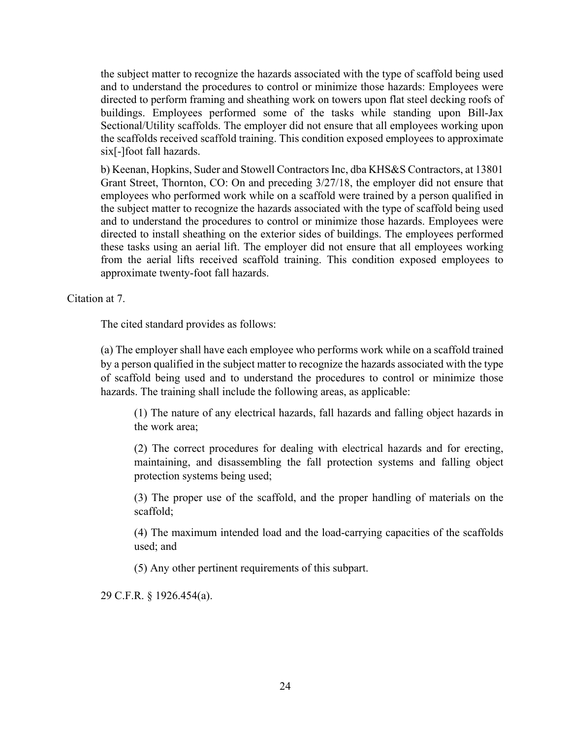the subject matter to recognize the hazards associated with the type of scaffold being used and to understand the procedures to control or minimize those hazards: Employees were directed to perform framing and sheathing work on towers upon flat steel decking roofs of buildings. Employees performed some of the tasks while standing upon Bill-Jax Sectional/Utility scaffolds. The employer did not ensure that all employees working upon the scaffolds received scaffold training. This condition exposed employees to approximate six[-]foot fall hazards.

b) Keenan, Hopkins, Suder and Stowell Contractors Inc, dba KHS&S Contractors, at 13801 Grant Street, Thornton, CO: On and preceding 3/27/18, the employer did not ensure that employees who performed work while on a scaffold were trained by a person qualified in the subject matter to recognize the hazards associated with the type of scaffold being used and to understand the procedures to control or minimize those hazards. Employees were directed to install sheathing on the exterior sides of buildings. The employees performed these tasks using an aerial lift. The employer did not ensure that all employees working from the aerial lifts received scaffold training. This condition exposed employees to approximate twenty-foot fall hazards.

Citation at 7.

The cited standard provides as follows:

(a) The employer shall have each employee who performs work while on a scaffold trained by a person qualified in the subject matter to recognize the hazards associated with the type of scaffold being used and to understand the procedures to control or minimize those hazards. The training shall include the following areas, as applicable:

(1) The nature of any electrical hazards, fall hazards and falling object hazards in the work area;

(2) The correct procedures for dealing with electrical hazards and for erecting, maintaining, and disassembling the fall protection systems and falling object protection systems being used;

(3) The proper use of the scaffold, and the proper handling of materials on the scaffold;

(4) The maximum intended load and the load-carrying capacities of the scaffolds used; and

(5) Any other pertinent requirements of this subpart.

29 C.F.R. § 1926.454(a).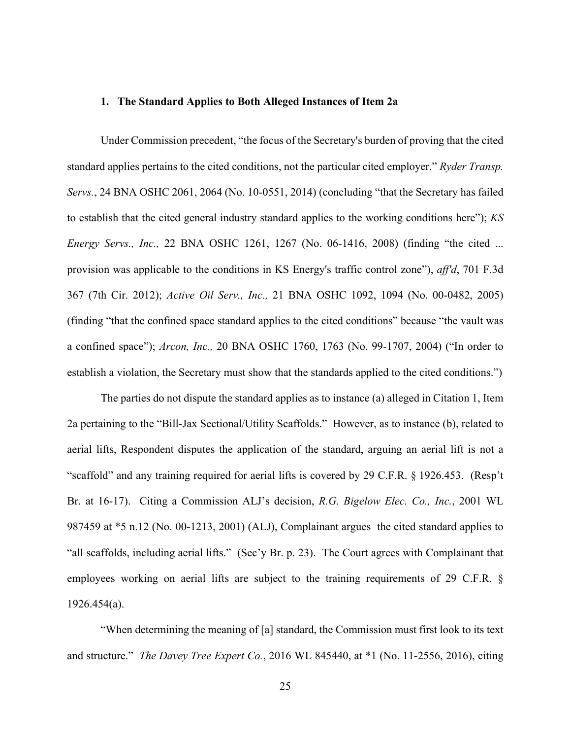### **1. The Standard Applies to Both Alleged Instances of Item 2a**

Under Commission precedent, "the focus of the Secretary's burden of proving that the cited standard applies pertains to the cited conditions, not the particular cited employer." *Ryder Transp. Servs.*, 24 BNA OSHC 2061, 2064 (No. 10-0551, 2014) (concluding "that the Secretary has failed to establish that the cited general industry standard applies to the working conditions here"); *KS Energy Servs., Inc.,* 22 BNA OSHC 1261, 1267 (No. 06-1416, 2008) (finding "the cited ... provision was applicable to the conditions in KS Energy's traffic control zone"), *aff'd*, 701 F.3d 367 (7th Cir. 2012); *Active Oil Serv., Inc.,* 21 BNA OSHC 1092, 1094 (No. 00-0482, 2005) (finding "that the confined space standard applies to the cited conditions" because "the vault was a confined space"); *Arcon, Inc.,* 20 BNA OSHC 1760, 1763 (No. 99-1707, 2004) ("In order to establish a violation, the Secretary must show that the standards applied to the cited conditions.")

The parties do not dispute the standard applies as to instance (a) alleged in Citation 1, Item 2a pertaining to the "Bill-Jax Sectional/Utility Scaffolds." However, as to instance (b), related to aerial lifts, Respondent disputes the application of the standard, arguing an aerial lift is not a "scaffold" and any training required for aerial lifts is covered by 29 C.F.R. § 1926.453. (Resp't Br. at 16-17). Citing a Commission ALJ's decision, *R.G. Bigelow Elec. Co., Inc.*, 2001 WL 987459 at \*5 n.12 (No. 00-1213, 2001) (ALJ), Complainant argues the cited standard applies to "all scaffolds, including aerial lifts." (Sec'y Br. p. 23). The Court agrees with Complainant that employees working on aerial lifts are subject to the training requirements of 29 C.F.R. § 1926.454(a).

"When determining the meaning of [a] standard, the Commission must first look to its text and structure." *The Davey Tree Expert Co.*, 2016 WL 845440, at \*1 (No. 11-2556, 2016), citing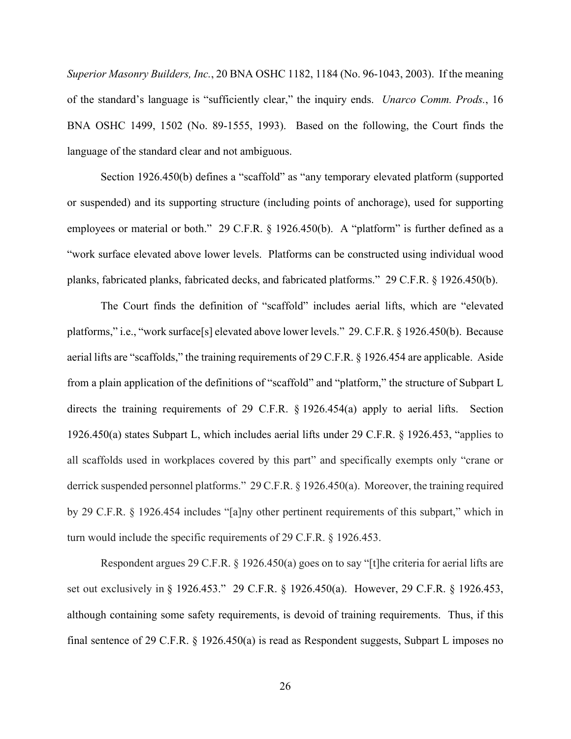*Superior Masonry Builders, Inc.*, 20 BNA OSHC 1182, 1184 (No. 96-1043, 2003). If the meaning of the standard's language is "sufficiently clear," the inquiry ends. *Unarco Comm. Prods.*, 16 BNA OSHC 1499, 1502 (No. 89-1555, 1993). Based on the following, the Court finds the language of the standard clear and not ambiguous.

Section 1926.450(b) defines a "scaffold" as "any temporary elevated platform (supported or suspended) and its supporting structure (including points of anchorage), used for supporting employees or material or both." 29 C.F.R. § 1926.450(b). A "platform" is further defined as a "work surface elevated above lower levels. Platforms can be constructed using individual wood planks, fabricated planks, fabricated decks, and fabricated platforms." 29 C.F.R. § 1926.450(b).

The Court finds the definition of "scaffold" includes aerial lifts, which are "elevated platforms," i.e., "work surface[s] elevated above lower levels." 29. C.F.R. § 1926.450(b). Because aerial lifts are "scaffolds," the training requirements of 29 C.F.R. § 1926.454 are applicable. Aside from a plain application of the definitions of "scaffold" and "platform," the structure of Subpart L directs the training requirements of 29 C.F.R. § 1926.454(a) apply to aerial lifts. Section 1926.450(a) states Subpart L, which includes aerial lifts under 29 C.F.R. § 1926.453, "applies to all scaffolds used in workplaces covered by this part" and specifically exempts only "crane or derrick suspended personnel platforms." 29 C.F.R. § 1926.450(a). Moreover, the training required by 29 C.F.R. § 1926.454 includes "[a]ny other pertinent requirements of this subpart," which in turn would include the specific requirements of 29 C.F.R. § 1926.453.

Respondent argues 29 C.F.R. § 1926.450(a) goes on to say "[t]he criteria for aerial lifts are set out exclusively in § 1926.453." 29 C.F.R. § 1926.450(a). However, 29 C.F.R. § 1926.453, although containing some safety requirements, is devoid of training requirements. Thus, if this final sentence of 29 C.F.R.  $\S$  1926.450(a) is read as Respondent suggests, Subpart L imposes no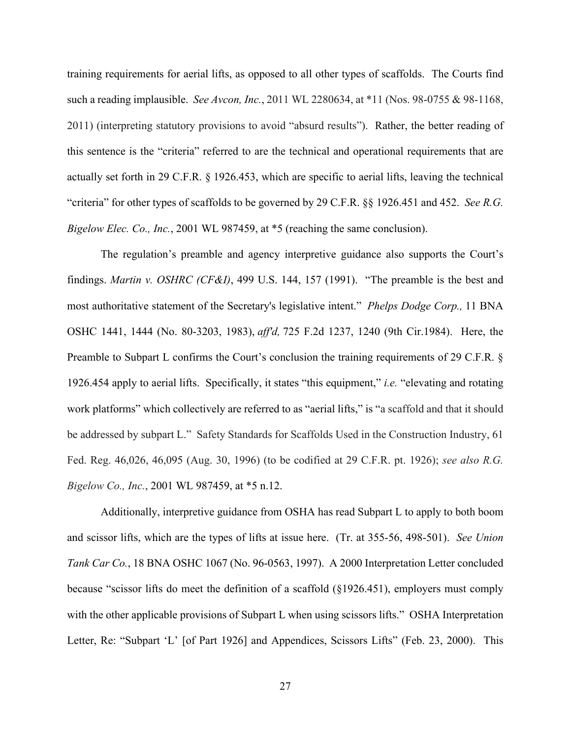training requirements for aerial lifts, as opposed to all other types of scaffolds. The Courts find such a reading implausible. *See Avcon, Inc.*, 2011 WL 2280634, at \*11 (Nos. 98-0755 & 98-1168, 2011) (interpreting statutory provisions to avoid "absurd results"). Rather, the better reading of this sentence is the "criteria" referred to are the technical and operational requirements that are actually set forth in 29 C.F.R. § 1926.453, which are specific to aerial lifts, leaving the technical "criteria" for other types of scaffolds to be governed by 29 C.F.R. §§ 1926.451 and 452. *See R.G. Bigelow Elec. Co., Inc.*, 2001 WL 987459, at \*5 (reaching the same conclusion).

The regulation's preamble and agency interpretive guidance also supports the Court's findings. *Martin v. OSHRC (CF&I)*, 499 U.S. 144, 157 (1991). "The preamble is the best and most authoritative statement of the Secretary's legislative intent." *Phelps Dodge Corp.,* 11 BNA OSHC 1441, 1444 (No. 80-3203, 1983), *aff'd,* 725 F.2d 1237, 1240 (9th Cir.1984). Here, the Preamble to Subpart L confirms the Court's conclusion the training requirements of 29 C.F.R. § 1926.454 apply to aerial lifts. Specifically, it states "this equipment," *i.e.* "elevating and rotating work platforms" which collectively are referred to as "aerial lifts," is "a scaffold and that it should be addressed by subpart L." Safety Standards for Scaffolds Used in the Construction Industry, 61 Fed. Reg. 46,026, 46,095 (Aug. 30, 1996) (to be codified at 29 C.F.R. pt. 1926); *see also R.G. Bigelow Co., Inc.*, 2001 WL 987459, at \*5 n.12.

Additionally, interpretive guidance from OSHA has read Subpart L to apply to both boom and scissor lifts, which are the types of lifts at issue here. (Tr. at 355-56, 498-501). *See Union Tank Car Co.*, 18 BNA OSHC 1067 (No. 96-0563, 1997). A 2000 Interpretation Letter concluded because "scissor lifts do meet the definition of a scaffold (§1926.451), employers must comply with the other applicable provisions of Subpart L when using scissors lifts." OSHA Interpretation Letter, Re: "Subpart 'L' [of Part 1926] and Appendices, Scissors Lifts" (Feb. 23, 2000). This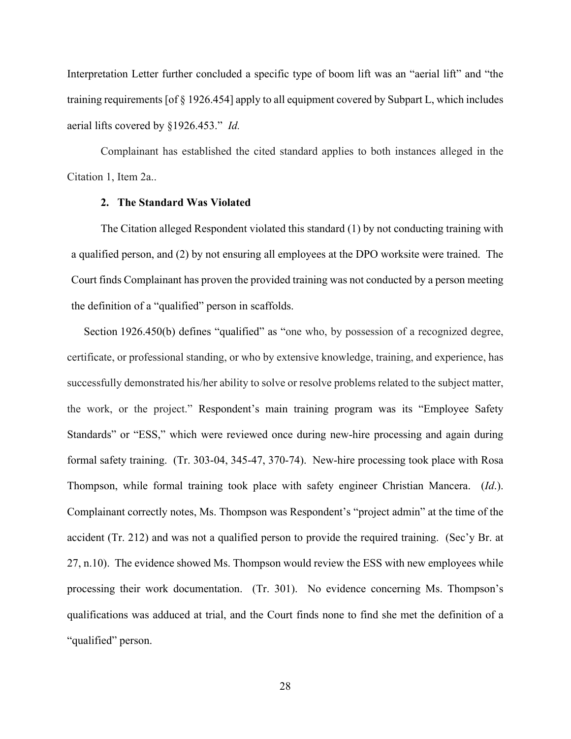Interpretation Letter further concluded a specific type of boom lift was an "aerial lift" and "the training requirements [of § 1926.454] apply to all equipment covered by Subpart L, which includes aerial lifts covered by §1926.453." *Id.*

Complainant has established the cited standard applies to both instances alleged in the Citation 1, Item 2a..

### **2. The Standard Was Violated**

The Citation alleged Respondent violated this standard (1) by not conducting training with a qualified person, and (2) by not ensuring all employees at the DPO worksite were trained. The Court finds Complainant has proven the provided training was not conducted by a person meeting the definition of a "qualified" person in scaffolds.

Section 1926.450(b) defines "qualified" as "one who, by possession of a recognized degree, certificate, or professional standing, or who by extensive knowledge, training, and experience, has successfully demonstrated his/her ability to solve or resolve problems related to the subject matter, the work, or the project." Respondent's main training program was its "Employee Safety Standards" or "ESS," which were reviewed once during new-hire processing and again during formal safety training. (Tr. 303-04, 345-47, 370-74). New-hire processing took place with Rosa Thompson, while formal training took place with safety engineer Christian Mancera. (*Id*.). Complainant correctly notes, Ms. Thompson was Respondent's "project admin" at the time of the accident (Tr. 212) and was not a qualified person to provide the required training. (Sec'y Br. at 27, n.10). The evidence showed Ms. Thompson would review the ESS with new employees while processing their work documentation. (Tr. 301). No evidence concerning Ms. Thompson's qualifications was adduced at trial, and the Court finds none to find she met the definition of a "qualified" person.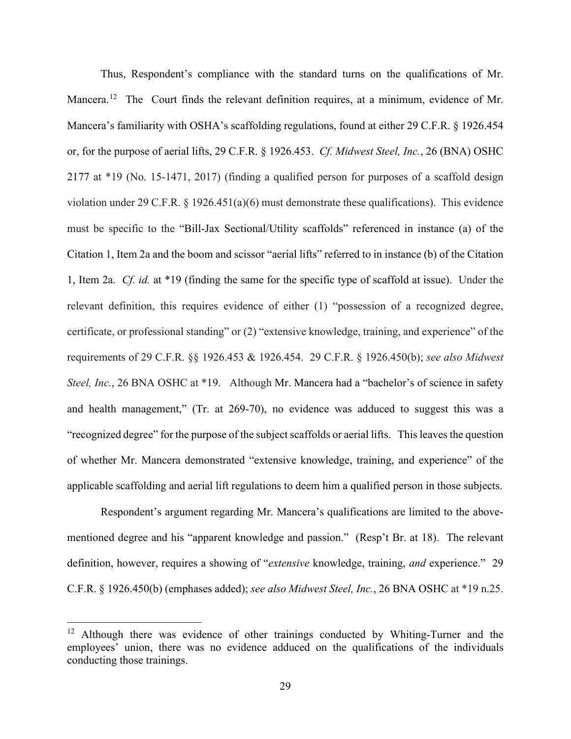Thus, Respondent's compliance with the standard turns on the qualifications of Mr. Mancera.<sup>12</sup> The Court finds the relevant definition requires, at a minimum, evidence of Mr. Mancera's familiarity with OSHA's scaffolding regulations, found at either 29 C.F.R. § 1926.454 or, for the purpose of aerial lifts, 29 C.F.R. § 1926.453. *Cf. Midwest Steel, Inc.*, 26 (BNA) OSHC 2177 at \*19 (No. 15-1471, 2017) (finding a qualified person for purposes of a scaffold design violation under 29 C.F.R.  $\S$  1926.451(a)(6) must demonstrate these qualifications). This evidence must be specific to the "Bill-Jax Sectional/Utility scaffolds" referenced in instance (a) of the Citation 1, Item 2a and the boom and scissor "aerial lifts" referred to in instance (b) of the Citation 1, Item 2a. *Cf. id.* at \*19 (finding the same for the specific type of scaffold at issue). Under the relevant definition, this requires evidence of either (1) "possession of a recognized degree, certificate, or professional standing" or (2) "extensive knowledge, training, and experience" of the requirements of 29 C.F.R. §§ 1926.453 & 1926.454. 29 C.F.R. § 1926.450(b); *see also Midwest Steel, Inc.*, 26 BNA OSHC at \*19. Although Mr. Mancera had a "bachelor's of science in safety and health management," (Tr. at 269-70), no evidence was adduced to suggest this was a "recognized degree" for the purpose of the subject scaffolds or aerial lifts. This leaves the question of whether Mr. Mancera demonstrated "extensive knowledge, training, and experience" of the applicable scaffolding and aerial lift regulations to deem him a qualified person in those subjects.

Respondent's argument regarding Mr. Mancera's qualifications are limited to the abovementioned degree and his "apparent knowledge and passion." (Resp't Br. at 18). The relevant definition, however, requires a showing of "*extensive* knowledge, training, *and* experience." 29 C.F.R. § 1926.450(b) (emphases added); *see also Midwest Steel, Inc.*, 26 BNA OSHC at \*19 n.25.

<span id="page-28-0"></span><sup>&</sup>lt;sup>12</sup> Although there was evidence of other trainings conducted by Whiting-Turner and the employees' union, there was no evidence adduced on the qualifications of the individuals conducting those trainings.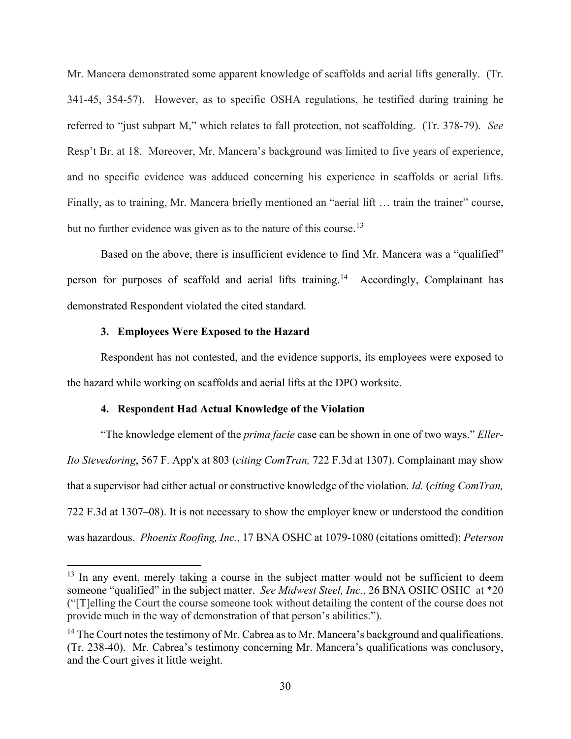Mr. Mancera demonstrated some apparent knowledge of scaffolds and aerial lifts generally. (Tr. 341-45, 354-57). However, as to specific OSHA regulations, he testified during training he referred to "just subpart M," which relates to fall protection, not scaffolding. (Tr. 378-79). *See*  Resp't Br. at 18. Moreover, Mr. Mancera's background was limited to five years of experience, and no specific evidence was adduced concerning his experience in scaffolds or aerial lifts. Finally, as to training, Mr. Mancera briefly mentioned an "aerial lift ... train the trainer" course, but no further evidence was given as to the nature of this course.<sup>[13](#page-29-0)</sup>

Based on the above, there is insufficient evidence to find Mr. Mancera was a "qualified" person for purposes of scaffold and aerial lifts training.<sup>14</sup> Accordingly, Complainant has demonstrated Respondent violated the cited standard.

### **3. Employees Were Exposed to the Hazard**

Respondent has not contested, and the evidence supports, its employees were exposed to the hazard while working on scaffolds and aerial lifts at the DPO worksite.

#### **4. Respondent Had Actual Knowledge of the Violation**

"The knowledge element of the *prima facie* case can be shown in one of two ways." *Eller-Ito Stevedoring*, 567 F. App'x at 803 (*citing ComTran,* 722 F.3d at 1307). Complainant may show that a supervisor had either actual or constructive knowledge of the violation. *Id.* (*citing ComTran,*  722 F.3d at 1307–08). It is not necessary to show the employer knew or understood the condition was hazardous. *Phoenix Roofing, Inc.*, 17 BNA OSHC at 1079-1080 (citations omitted); *Peterson* 

<span id="page-29-0"></span> $13$  In any event, merely taking a course in the subject matter would not be sufficient to deem someone "qualified" in the subject matter. *See Midwest Steel, Inc.*, 26 BNA OSHC OSHC at \*20 ("[T]elling the Court the course someone took without detailing the content of the course does not provide much in the way of demonstration of that person's abilities.").

<span id="page-29-1"></span> $14$  The Court notes the testimony of Mr. Cabrea as to Mr. Mancera's background and qualifications. (Tr. 238-40). Mr. Cabrea's testimony concerning Mr. Mancera's qualifications was conclusory, and the Court gives it little weight.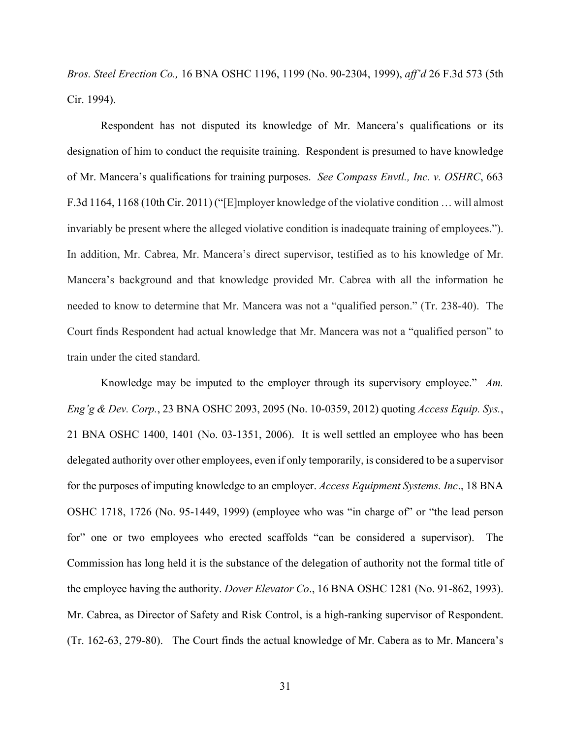*Bros. Steel Erection Co.,* 16 BNA OSHC 1196, 1199 (No. 90-2304, 1999), *aff'd* 26 F.3d 573 (5th Cir. 1994).

Respondent has not disputed its knowledge of Mr. Mancera's qualifications or its designation of him to conduct the requisite training. Respondent is presumed to have knowledge of Mr. Mancera's qualifications for training purposes. *See Compass Envtl., Inc. v. OSHRC*, 663 F.3d 1164, 1168 (10th Cir. 2011) ("[E]mployer knowledge of the violative condition … will almost invariably be present where the alleged violative condition is inadequate training of employees."). In addition, Mr. Cabrea, Mr. Mancera's direct supervisor, testified as to his knowledge of Mr. Mancera's background and that knowledge provided Mr. Cabrea with all the information he needed to know to determine that Mr. Mancera was not a "qualified person." (Tr. 238-40). The Court finds Respondent had actual knowledge that Mr. Mancera was not a "qualified person" to train under the cited standard.

Knowledge may be imputed to the employer through its supervisory employee." *Am. Eng'g & Dev. Corp.*, 23 BNA OSHC 2093, 2095 (No. 10-0359, 2012) quoting *Access Equip. Sys.*, 21 BNA OSHC 1400, 1401 (No. 03-1351, 2006). It is well settled an employee who has been delegated authority over other employees, even if only temporarily, is considered to be a supervisor for the purposes of imputing knowledge to an employer. *Access Equipment Systems. Inc*., 18 BNA OSHC 1718, 1726 (No. 95-1449, 1999) (employee who was "in charge of" or "the lead person for" one or two employees who erected scaffolds "can be considered a supervisor). The Commission has long held it is the substance of the delegation of authority not the formal title of the employee having the authority. *Dover Elevator Co*., 16 BNA OSHC 1281 (No. 91-862, 1993). Mr. Cabrea, as Director of Safety and Risk Control, is a high-ranking supervisor of Respondent. (Tr. 162-63, 279-80). The Court finds the actual knowledge of Mr. Cabera as to Mr. Mancera's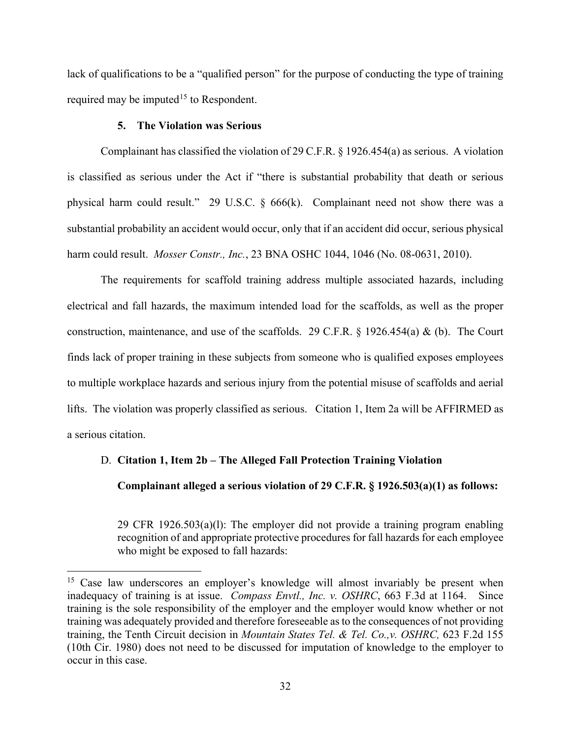lack of qualifications to be a "qualified person" for the purpose of conducting the type of training required may be imputed<sup>15</sup> to Respondent.

### **5. The Violation was Serious**

Complainant has classified the violation of 29 C.F.R. § 1926.454(a) as serious. A violation is classified as serious under the Act if "there is substantial probability that death or serious physical harm could result." 29 U.S.C. § 666(k). Complainant need not show there was a substantial probability an accident would occur, only that if an accident did occur, serious physical harm could result. *Mosser Constr., Inc.*, 23 BNA OSHC 1044, 1046 (No. 08-0631, 2010).

The requirements for scaffold training address multiple associated hazards, including electrical and fall hazards, the maximum intended load for the scaffolds, as well as the proper construction, maintenance, and use of the scaffolds. 29 C.F.R. § 1926.454(a) & (b). The Court finds lack of proper training in these subjects from someone who is qualified exposes employees to multiple workplace hazards and serious injury from the potential misuse of scaffolds and aerial lifts. The violation was properly classified as serious. Citation 1, Item 2a will be AFFIRMED as a serious citation.

### D. **Citation 1, Item 2b – The Alleged Fall Protection Training Violation**

**Complainant alleged a serious violation of 29 C.F.R. § 1926.503(a)(1) as follows:** 

29 CFR 1926.503(a)(l): The employer did not provide a training program enabling recognition of and appropriate protective procedures for fall hazards for each employee who might be exposed to fall hazards:

<span id="page-31-0"></span><sup>&</sup>lt;sup>15</sup> Case law underscores an employer's knowledge will almost invariably be present when inadequacy of training is at issue. *Compass Envtl., Inc. v. OSHRC*, 663 F.3d at 1164. Since training is the sole responsibility of the employer and the employer would know whether or not training was adequately provided and therefore foreseeable as to the consequences of not providing training, the Tenth Circuit decision in *Mountain States Tel. & Tel. Co.,v. OSHRC,* 623 F.2d 155 (10th Cir. 1980) does not need to be discussed for imputation of knowledge to the employer to occur in this case.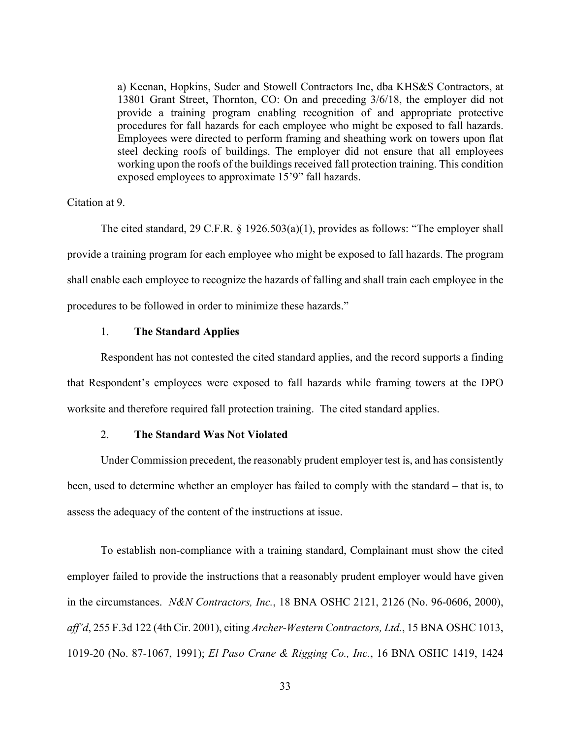a) Keenan, Hopkins, Suder and Stowell Contractors Inc, dba KHS&S Contractors, at 13801 Grant Street, Thornton, CO: On and preceding 3/6/18, the employer did not provide a training program enabling recognition of and appropriate protective procedures for fall hazards for each employee who might be exposed to fall hazards. Employees were directed to perform framing and sheathing work on towers upon flat steel decking roofs of buildings. The employer did not ensure that all employees working upon the roofs of the buildings received fall protection training. This condition exposed employees to approximate 15'9" fall hazards.

### Citation at 9.

The cited standard, 29 C.F.R. § 1926.503(a)(1), provides as follows: "The employer shall provide a training program for each employee who might be exposed to fall hazards. The program shall enable each employee to recognize the hazards of falling and shall train each employee in the procedures to be followed in order to minimize these hazards."

### 1. **The Standard Applies**

Respondent has not contested the cited standard applies, and the record supports a finding that Respondent's employees were exposed to fall hazards while framing towers at the DPO worksite and therefore required fall protection training. The cited standard applies.

### 2. **The Standard Was Not Violated**

Under Commission precedent, the reasonably prudent employer test is, and has consistently been, used to determine whether an employer has failed to comply with the standard – that is, to assess the adequacy of the content of the instructions at issue.

To establish non-compliance with a training standard, Complainant must show the cited employer failed to provide the instructions that a reasonably prudent employer would have given in the circumstances. *N&N Contractors, Inc.*, 18 BNA OSHC 2121, 2126 (No. 96-0606, 2000), *aff'd*, 255 F.3d 122 (4th Cir. 2001), citing *Archer-Western Contractors, Ltd.*, 15 BNA OSHC 1013, 1019-20 (No. 87-1067, 1991); *El Paso Crane & Rigging Co., Inc.*, 16 BNA OSHC 1419, 1424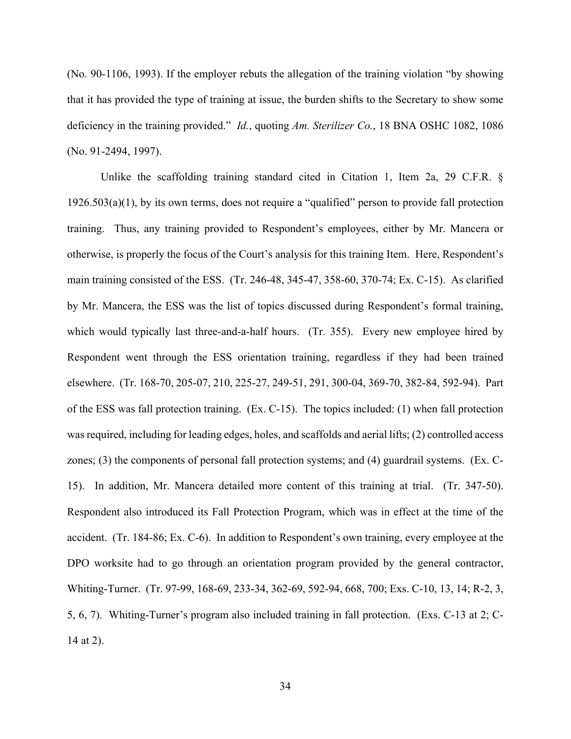(No. 90-1106, 1993). If the employer rebuts the allegation of the training violation "by showing that it has provided the type of training at issue, the burden shifts to the Secretary to show some deficiency in the training provided." *Id.*, quoting *Am. Sterilizer Co.*, 18 BNA OSHC 1082, 1086 (No. 91-2494, 1997).

Unlike the scaffolding training standard cited in Citation 1, Item 2a, 29 C.F.R. § 1926.503(a)(1), by its own terms, does not require a "qualified" person to provide fall protection training. Thus, any training provided to Respondent's employees, either by Mr. Mancera or otherwise, is properly the focus of the Court's analysis for this training Item. Here, Respondent's main training consisted of the ESS. (Tr. 246-48, 345-47, 358-60, 370-74; Ex. C-15). As clarified by Mr. Mancera, the ESS was the list of topics discussed during Respondent's formal training, which would typically last three-and-a-half hours. (Tr. 355). Every new employee hired by Respondent went through the ESS orientation training, regardless if they had been trained elsewhere. (Tr. 168-70, 205-07, 210, 225-27, 249-51, 291, 300-04, 369-70, 382-84, 592-94). Part of the ESS was fall protection training. (Ex. C-15). The topics included: (1) when fall protection was required, including for leading edges, holes, and scaffolds and aerial lifts; (2) controlled access zones; (3) the components of personal fall protection systems; and (4) guardrail systems. (Ex. C-15). In addition, Mr. Mancera detailed more content of this training at trial. (Tr. 347-50). Respondent also introduced its Fall Protection Program, which was in effect at the time of the accident. (Tr. 184-86; Ex. C-6). In addition to Respondent's own training, every employee at the DPO worksite had to go through an orientation program provided by the general contractor, Whiting-Turner. (Tr. 97-99, 168-69, 233-34, 362-69, 592-94, 668, 700; Exs. C-10, 13, 14; R-2, 3, 5, 6, 7). Whiting-Turner's program also included training in fall protection. (Exs. C-13 at 2; C-14 at 2).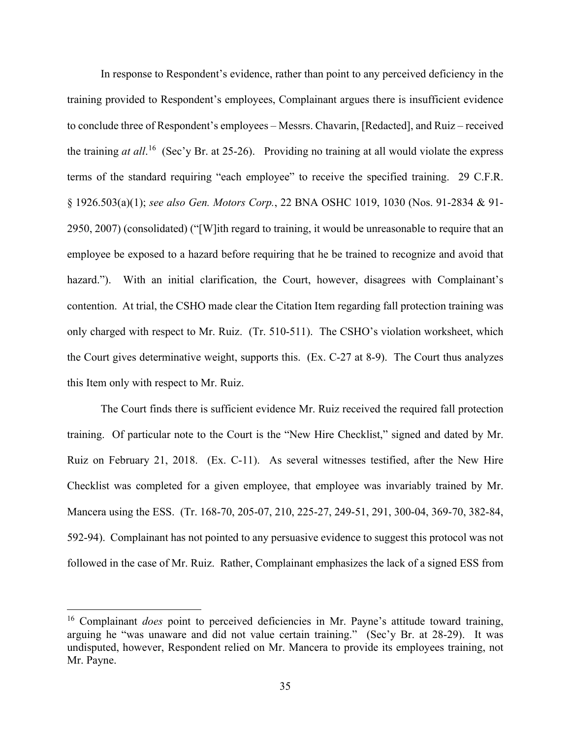In response to Respondent's evidence, rather than point to any perceived deficiency in the training provided to Respondent's employees, Complainant argues there is insufficient evidence to conclude three of Respondent's employees – Messrs. Chavarin, [Redacted], and Ruiz – received the training *at all*. [16](#page-34-0) (Sec'y Br. at 25-26). Providing no training at all would violate the express terms of the standard requiring "each employee" to receive the specified training. 29 C.F.R. § 1926.503(a)(1); *see also Gen. Motors Corp.*, 22 BNA OSHC 1019, 1030 (Nos. 91-2834 & 91- 2950, 2007) (consolidated) ("[W]ith regard to training, it would be unreasonable to require that an employee be exposed to a hazard before requiring that he be trained to recognize and avoid that hazard."). With an initial clarification, the Court, however, disagrees with Complainant's contention. At trial, the CSHO made clear the Citation Item regarding fall protection training was only charged with respect to Mr. Ruiz. (Tr. 510-511). The CSHO's violation worksheet, which the Court gives determinative weight, supports this. (Ex. C-27 at 8-9). The Court thus analyzes this Item only with respect to Mr. Ruiz.

The Court finds there is sufficient evidence Mr. Ruiz received the required fall protection training. Of particular note to the Court is the "New Hire Checklist," signed and dated by Mr. Ruiz on February 21, 2018. (Ex. C-11). As several witnesses testified, after the New Hire Checklist was completed for a given employee, that employee was invariably trained by Mr. Mancera using the ESS. (Tr. 168-70, 205-07, 210, 225-27, 249-51, 291, 300-04, 369-70, 382-84, 592-94). Complainant has not pointed to any persuasive evidence to suggest this protocol was not followed in the case of Mr. Ruiz. Rather, Complainant emphasizes the lack of a signed ESS from

<span id="page-34-0"></span><sup>&</sup>lt;sup>16</sup> Complainant *does* point to perceived deficiencies in Mr. Payne's attitude toward training, arguing he "was unaware and did not value certain training." (Sec'y Br. at 28-29). It was undisputed, however, Respondent relied on Mr. Mancera to provide its employees training, not Mr. Payne.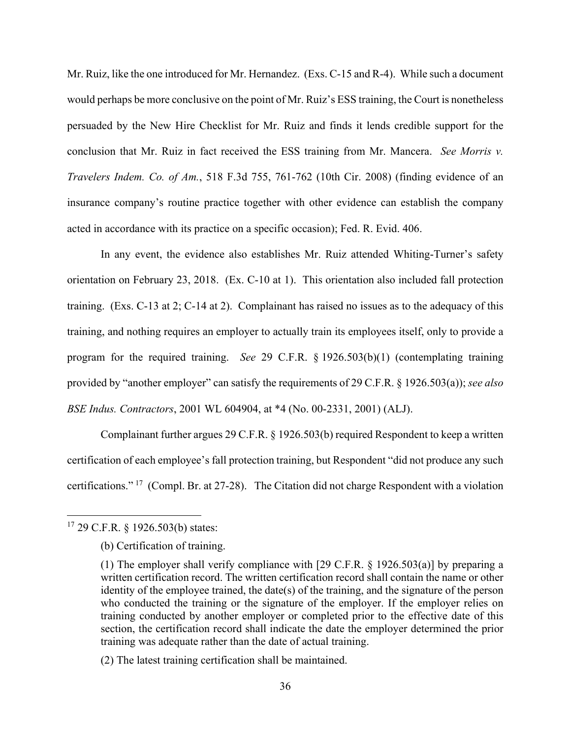Mr. Ruiz, like the one introduced for Mr. Hernandez. (Exs. C-15 and R-4). While such a document would perhaps be more conclusive on the point of Mr. Ruiz's ESS training, the Court is nonetheless persuaded by the New Hire Checklist for Mr. Ruiz and finds it lends credible support for the conclusion that Mr. Ruiz in fact received the ESS training from Mr. Mancera. *See Morris v. Travelers Indem. Co. of Am.*, 518 F.3d 755, 761-762 (10th Cir. 2008) (finding evidence of an insurance company's routine practice together with other evidence can establish the company acted in accordance with its practice on a specific occasion); Fed. R. Evid. 406.

In any event, the evidence also establishes Mr. Ruiz attended Whiting-Turner's safety orientation on February 23, 2018. (Ex. C-10 at 1). This orientation also included fall protection training. (Exs. C-13 at 2; C-14 at 2). Complainant has raised no issues as to the adequacy of this training, and nothing requires an employer to actually train its employees itself, only to provide a program for the required training. *See* 29 C.F.R. § 1926.503(b)(1) (contemplating training provided by "another employer" can satisfy the requirements of 29 C.F.R. § 1926.503(a)); *see also BSE Indus. Contractors*, 2001 WL 604904, at \*4 (No. 00-2331, 2001) (ALJ).

Complainant further argues 29 C.F.R. § 1926.503(b) required Respondent to keep a written certification of each employee's fall protection training, but Respondent "did not produce any such certifications." [17](#page-35-0) (Compl. Br. at 27-28). The Citation did not charge Respondent with a violation

<span id="page-35-0"></span><sup>17 29</sup> C.F.R. § 1926.503(b) states:

<sup>(</sup>b) Certification of training.

<sup>(1)</sup> The employer shall verify compliance with [29 C.F.R. § 1926.503(a)] by preparing a written certification record. The written certification record shall contain the name or other identity of the employee trained, the date(s) of the training, and the signature of the person who conducted the training or the signature of the employer. If the employer relies on training conducted by another employer or completed prior to the effective date of this section, the certification record shall indicate the date the employer determined the prior training was adequate rather than the date of actual training.

<sup>(2)</sup> The latest training certification shall be maintained.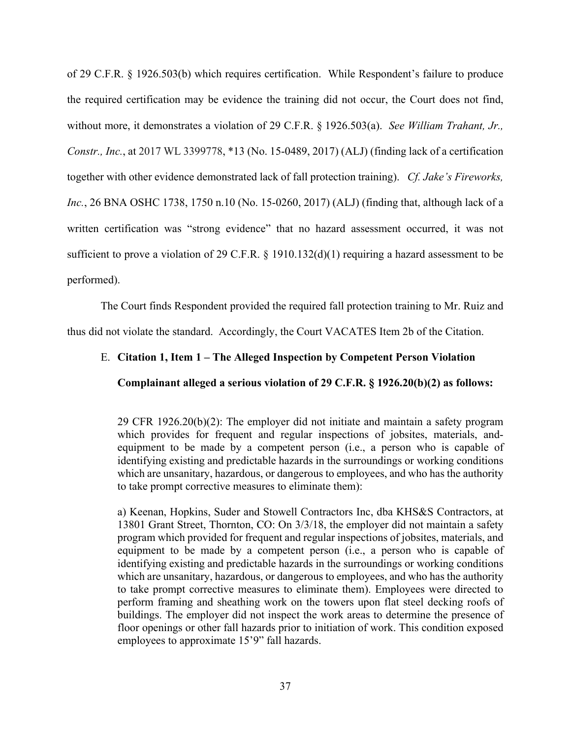of 29 C.F.R. § 1926.503(b) which requires certification. While Respondent's failure to produce the required certification may be evidence the training did not occur, the Court does not find, without more, it demonstrates a violation of 29 C.F.R. § 1926.503(a). *See William Trahant, Jr., Constr., Inc.*, at 2017 WL 3399778, \*13 (No. 15-0489, 2017) (ALJ) (finding lack of a certification together with other evidence demonstrated lack of fall protection training). *Cf. Jake's Fireworks, Inc.*, 26 BNA OSHC 1738, 1750 n.10 (No. 15-0260, 2017) (ALJ) (finding that, although lack of a written certification was "strong evidence" that no hazard assessment occurred, it was not sufficient to prove a violation of 29 C.F.R. § 1910.132(d)(1) requiring a hazard assessment to be performed).

The Court finds Respondent provided the required fall protection training to Mr. Ruiz and thus did not violate the standard. Accordingly, the Court VACATES Item 2b of the Citation.

## E. **Citation 1, Item 1 – The Alleged Inspection by Competent Person Violation**

### **Complainant alleged a serious violation of 29 C.F.R. § 1926.20(b)(2) as follows:**

29 CFR 1926.20(b)(2): The employer did not initiate and maintain a safety program which provides for frequent and regular inspections of jobsites, materials, andequipment to be made by a competent person (i.e., a person who is capable of identifying existing and predictable hazards in the surroundings or working conditions which are unsanitary, hazardous, or dangerous to employees, and who has the authority to take prompt corrective measures to eliminate them):

a) Keenan, Hopkins, Suder and Stowell Contractors Inc, dba KHS&S Contractors, at 13801 Grant Street, Thornton, CO: On 3/3/18, the employer did not maintain a safety program which provided for frequent and regular inspections of jobsites, materials, and equipment to be made by a competent person (i.e., a person who is capable of identifying existing and predictable hazards in the surroundings or working conditions which are unsanitary, hazardous, or dangerous to employees, and who has the authority to take prompt corrective measures to eliminate them). Employees were directed to perform framing and sheathing work on the towers upon flat steel decking roofs of buildings. The employer did not inspect the work areas to determine the presence of floor openings or other fall hazards prior to initiation of work. This condition exposed employees to approximate 15'9" fall hazards.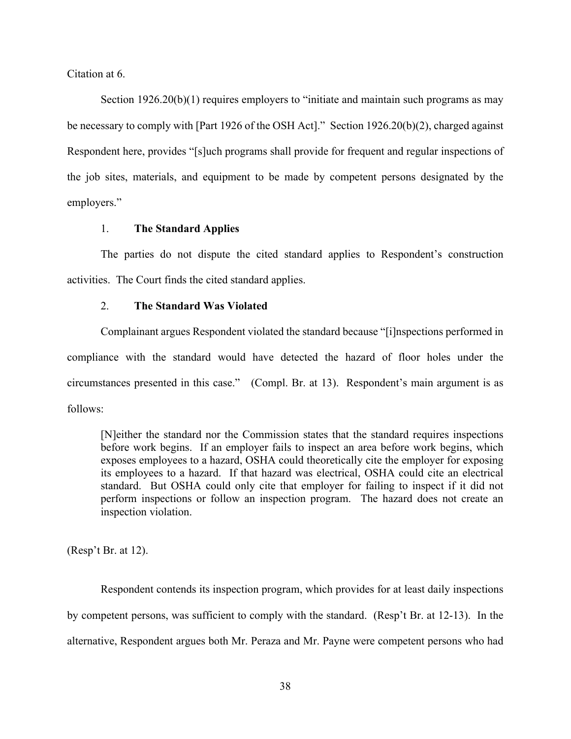Citation at 6.

Section 1926.20(b)(1) requires employers to "initiate and maintain such programs as may be necessary to comply with [Part 1926 of the OSH Act]." Section 1926.20(b)(2), charged against Respondent here, provides "[s]uch programs shall provide for frequent and regular inspections of the job sites, materials, and equipment to be made by competent persons designated by the employers."

### 1. **The Standard Applies**

The parties do not dispute the cited standard applies to Respondent's construction activities. The Court finds the cited standard applies.

### 2. **The Standard Was Violated**

Complainant argues Respondent violated the standard because "[i]nspections performed in compliance with the standard would have detected the hazard of floor holes under the circumstances presented in this case." (Compl. Br. at 13). Respondent's main argument is as follows:

[N]either the standard nor the Commission states that the standard requires inspections before work begins. If an employer fails to inspect an area before work begins, which exposes employees to a hazard, OSHA could theoretically cite the employer for exposing its employees to a hazard. If that hazard was electrical, OSHA could cite an electrical standard. But OSHA could only cite that employer for failing to inspect if it did not perform inspections or follow an inspection program. The hazard does not create an inspection violation.

(Resp't Br. at 12).

Respondent contends its inspection program, which provides for at least daily inspections by competent persons, was sufficient to comply with the standard. (Resp't Br. at 12-13). In the alternative, Respondent argues both Mr. Peraza and Mr. Payne were competent persons who had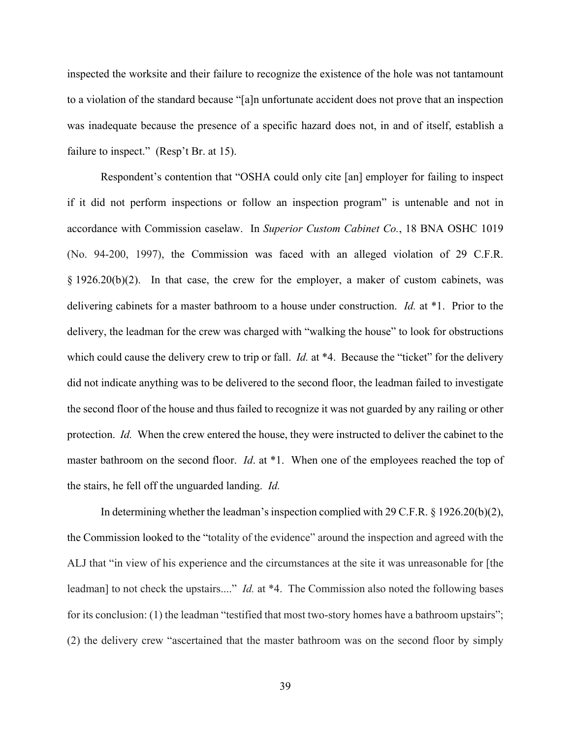inspected the worksite and their failure to recognize the existence of the hole was not tantamount to a violation of the standard because "[a]n unfortunate accident does not prove that an inspection was inadequate because the presence of a specific hazard does not, in and of itself, establish a failure to inspect." (Resp't Br. at 15).

Respondent's contention that "OSHA could only cite [an] employer for failing to inspect if it did not perform inspections or follow an inspection program" is untenable and not in accordance with Commission caselaw. In *Superior Custom Cabinet Co.*, 18 BNA OSHC 1019 (No. 94-200, 1997), the Commission was faced with an alleged violation of 29 C.F.R. § 1926.20(b)(2). In that case, the crew for the employer, a maker of custom cabinets, was delivering cabinets for a master bathroom to a house under construction. *Id.* at \*1. Prior to the delivery, the leadman for the crew was charged with "walking the house" to look for obstructions which could cause the delivery crew to trip or fall. *Id.* at \*4. Because the "ticket" for the delivery did not indicate anything was to be delivered to the second floor, the leadman failed to investigate the second floor of the house and thus failed to recognize it was not guarded by any railing or other protection. *Id.* When the crew entered the house, they were instructed to deliver the cabinet to the master bathroom on the second floor. *Id*. at \*1. When one of the employees reached the top of the stairs, he fell off the unguarded landing. *Id.*

In determining whether the leadman's inspection complied with 29 C.F.R. § 1926.20(b)(2), the Commission looked to the "totality of the evidence" around the inspection and agreed with the ALJ that "in view of his experience and the circumstances at the site it was unreasonable for [the leadman] to not check the upstairs...." *Id.* at \*4. The Commission also noted the following bases for its conclusion: (1) the leadman "testified that most two-story homes have a bathroom upstairs"; (2) the delivery crew "ascertained that the master bathroom was on the second floor by simply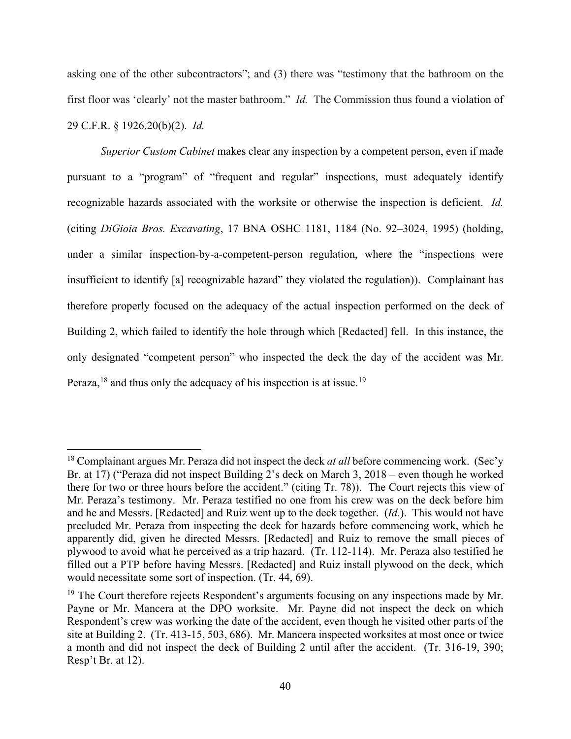asking one of the other subcontractors"; and (3) there was "testimony that the bathroom on the first floor was 'clearly' not the master bathroom." *Id.* The Commission thus found a violation of 29 C.F.R. § 1926.20(b)(2). *Id.*

*Superior Custom Cabinet* makes clear any inspection by a competent person, even if made pursuant to a "program" of "frequent and regular" inspections, must adequately identify recognizable hazards associated with the worksite or otherwise the inspection is deficient. *Id.* (citing *DiGioia Bros. Excavating*, 17 BNA OSHC 1181, 1184 (No. 92–3024, 1995) (holding, under a similar inspection-by-a-competent-person regulation, where the "inspections were insufficient to identify [a] recognizable hazard" they violated the regulation)). Complainant has therefore properly focused on the adequacy of the actual inspection performed on the deck of Building 2, which failed to identify the hole through which [Redacted] fell. In this instance, the only designated "competent person" who inspected the deck the day of the accident was Mr. Peraza,  $18$  and thus only the adequacy of his inspection is at issue.<sup>[19](#page-39-1)</sup>

<span id="page-39-0"></span><sup>&</sup>lt;sup>18</sup> Complainant argues Mr. Peraza did not inspect the deck *at all* before commencing work. (Sec'y Br. at 17) ("Peraza did not inspect Building 2's deck on March 3, 2018 – even though he worked there for two or three hours before the accident." (citing Tr. 78)). The Court rejects this view of Mr. Peraza's testimony. Mr. Peraza testified no one from his crew was on the deck before him and he and Messrs. [Redacted] and Ruiz went up to the deck together. (*Id.*). This would not have precluded Mr. Peraza from inspecting the deck for hazards before commencing work, which he apparently did, given he directed Messrs. [Redacted] and Ruiz to remove the small pieces of plywood to avoid what he perceived as a trip hazard. (Tr. 112-114). Mr. Peraza also testified he filled out a PTP before having Messrs. [Redacted] and Ruiz install plywood on the deck, which would necessitate some sort of inspection. (Tr. 44, 69).

<span id="page-39-1"></span> $19$  The Court therefore rejects Respondent's arguments focusing on any inspections made by Mr. Payne or Mr. Mancera at the DPO worksite. Mr. Payne did not inspect the deck on which Respondent's crew was working the date of the accident, even though he visited other parts of the site at Building 2. (Tr. 413-15, 503, 686). Mr. Mancera inspected worksites at most once or twice a month and did not inspect the deck of Building 2 until after the accident. (Tr. 316-19, 390; Resp't Br. at 12).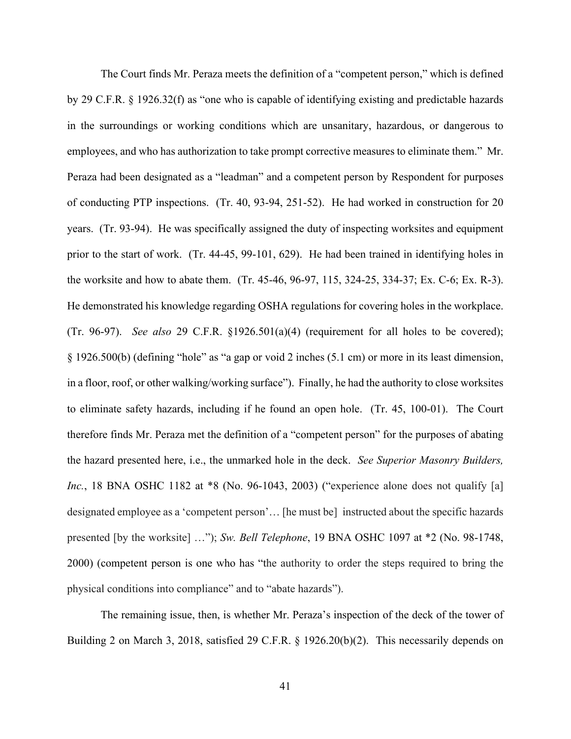The Court finds Mr. Peraza meets the definition of a "competent person," which is defined by 29 C.F.R. § 1926.32(f) as "one who is capable of identifying existing and predictable hazards in the surroundings or working conditions which are unsanitary, hazardous, or dangerous to employees, and who has authorization to take prompt corrective measures to eliminate them." Mr. Peraza had been designated as a "leadman" and a competent person by Respondent for purposes of conducting PTP inspections. (Tr. 40, 93-94, 251-52). He had worked in construction for 20 years. (Tr. 93-94). He was specifically assigned the duty of inspecting worksites and equipment prior to the start of work. (Tr. 44-45, 99-101, 629). He had been trained in identifying holes in the worksite and how to abate them. (Tr. 45-46, 96-97, 115, 324-25, 334-37; Ex. C-6; Ex. R-3). He demonstrated his knowledge regarding OSHA regulations for covering holes in the workplace. (Tr. 96-97). *See also* 29 C.F.R. §1926.501(a)(4) (requirement for all holes to be covered); § 1926.500(b) (defining "hole" as "a gap or void 2 inches (5.1 cm) or more in its least dimension, in a floor, roof, or other walking/working surface"). Finally, he had the authority to close worksites to eliminate safety hazards, including if he found an open hole. (Tr. 45, 100-01). The Court therefore finds Mr. Peraza met the definition of a "competent person" for the purposes of abating the hazard presented here, i.e., the unmarked hole in the deck. *See Superior Masonry Builders, Inc.*, 18 BNA OSHC 1182 at \*8 (No. 96-1043, 2003) ("experience alone does not qualify [a] designated employee as a 'competent person'… [he must be] instructed about the specific hazards presented [by the worksite] …"); *Sw. Bell Telephone*, 19 BNA OSHC 1097 at \*2 (No. 98-1748, 2000) (competent person is one who has "the authority to order the steps required to bring the physical conditions into compliance" and to "abate hazards").

The remaining issue, then, is whether Mr. Peraza's inspection of the deck of the tower of Building 2 on March 3, 2018, satisfied 29 C.F.R. § 1926.20(b)(2). This necessarily depends on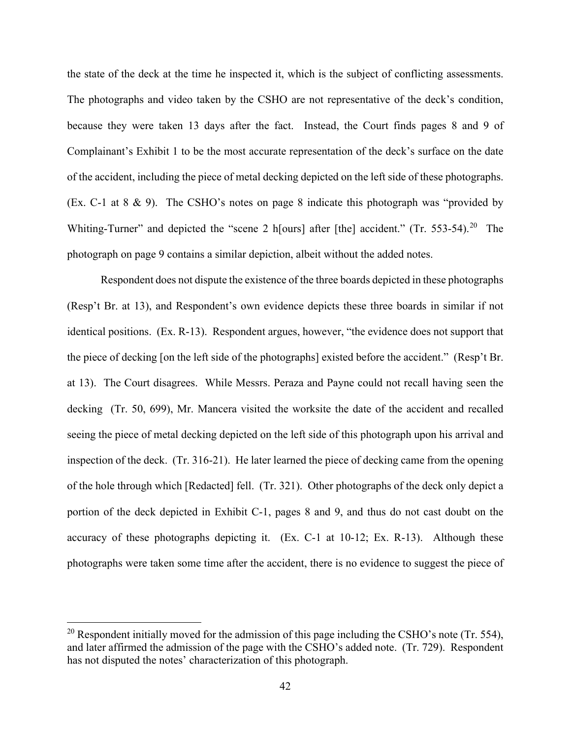the state of the deck at the time he inspected it, which is the subject of conflicting assessments. The photographs and video taken by the CSHO are not representative of the deck's condition, because they were taken 13 days after the fact. Instead, the Court finds pages 8 and 9 of Complainant's Exhibit 1 to be the most accurate representation of the deck's surface on the date of the accident, including the piece of metal decking depicted on the left side of these photographs. (Ex. C-1 at 8 & 9). The CSHO's notes on page 8 indicate this photograph was "provided by Whiting-Turner" and depicted the "scene 2 h[ours] after [the] accident." (Tr. 553-54).<sup>20</sup> The photograph on page 9 contains a similar depiction, albeit without the added notes.

Respondent does not dispute the existence of the three boards depicted in these photographs (Resp't Br. at 13), and Respondent's own evidence depicts these three boards in similar if not identical positions. (Ex. R-13). Respondent argues, however, "the evidence does not support that the piece of decking [on the left side of the photographs] existed before the accident." (Resp't Br. at 13). The Court disagrees. While Messrs. Peraza and Payne could not recall having seen the decking (Tr. 50, 699), Mr. Mancera visited the worksite the date of the accident and recalled seeing the piece of metal decking depicted on the left side of this photograph upon his arrival and inspection of the deck. (Tr. 316-21). He later learned the piece of decking came from the opening of the hole through which [Redacted] fell. (Tr. 321). Other photographs of the deck only depict a portion of the deck depicted in Exhibit C-1, pages 8 and 9, and thus do not cast doubt on the accuracy of these photographs depicting it. (Ex. C-1 at 10-12; Ex. R-13). Although these photographs were taken some time after the accident, there is no evidence to suggest the piece of

<span id="page-41-0"></span><sup>&</sup>lt;sup>20</sup> Respondent initially moved for the admission of this page including the CSHO's note (Tr. 554), and later affirmed the admission of the page with the CSHO's added note. (Tr. 729). Respondent has not disputed the notes' characterization of this photograph.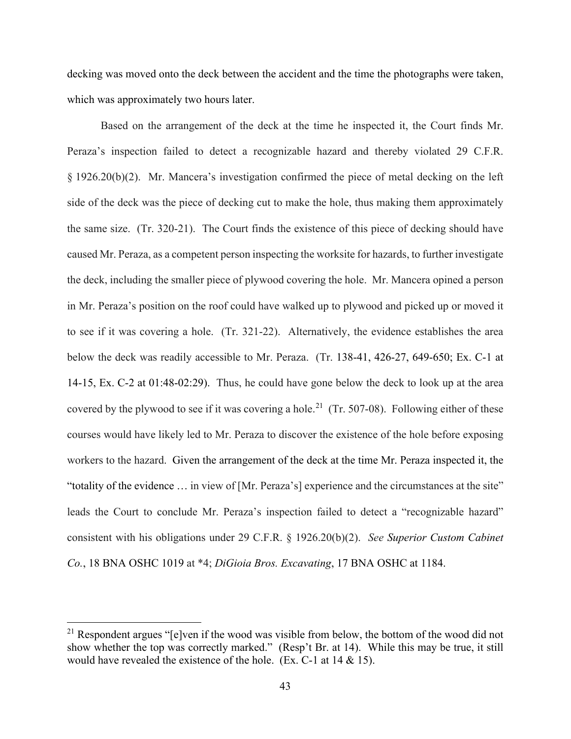decking was moved onto the deck between the accident and the time the photographs were taken, which was approximately two hours later.

Based on the arrangement of the deck at the time he inspected it, the Court finds Mr. Peraza's inspection failed to detect a recognizable hazard and thereby violated 29 C.F.R. § 1926.20(b)(2). Mr. Mancera's investigation confirmed the piece of metal decking on the left side of the deck was the piece of decking cut to make the hole, thus making them approximately the same size. (Tr. 320-21). The Court finds the existence of this piece of decking should have caused Mr. Peraza, as a competent person inspecting the worksite for hazards, to further investigate the deck, including the smaller piece of plywood covering the hole. Mr. Mancera opined a person in Mr. Peraza's position on the roof could have walked up to plywood and picked up or moved it to see if it was covering a hole. (Tr. 321-22). Alternatively, the evidence establishes the area below the deck was readily accessible to Mr. Peraza. (Tr. 138-41, 426-27, 649-650; Ex. C-1 at 14-15, Ex. C-2 at 01:48-02:29). Thus, he could have gone below the deck to look up at the area covered by the plywood to see if it was covering a hole.<sup>21</sup> (Tr. 507-08). Following either of these courses would have likely led to Mr. Peraza to discover the existence of the hole before exposing workers to the hazard. Given the arrangement of the deck at the time Mr. Peraza inspected it, the "totality of the evidence … in view of [Mr. Peraza's] experience and the circumstances at the site" leads the Court to conclude Mr. Peraza's inspection failed to detect a "recognizable hazard" consistent with his obligations under 29 C.F.R. § 1926.20(b)(2). *See Superior Custom Cabinet Co.*, 18 BNA OSHC 1019 at \*4; *DiGioia Bros. Excavating*, 17 BNA OSHC at 1184.

<span id="page-42-0"></span> $21$  Respondent argues "[e]ven if the wood was visible from below, the bottom of the wood did not show whether the top was correctly marked." (Resp't Br. at 14). While this may be true, it still would have revealed the existence of the hole. (Ex. C-1 at 14 & 15).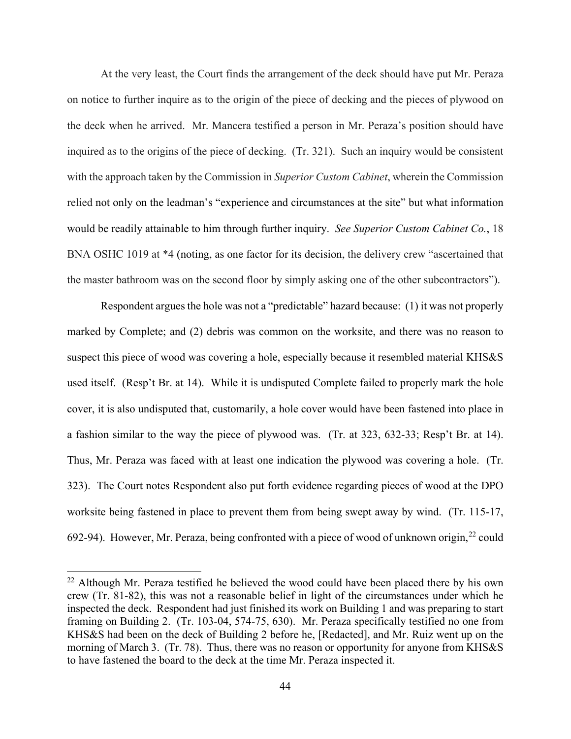At the very least, the Court finds the arrangement of the deck should have put Mr. Peraza on notice to further inquire as to the origin of the piece of decking and the pieces of plywood on the deck when he arrived. Mr. Mancera testified a person in Mr. Peraza's position should have inquired as to the origins of the piece of decking. (Tr. 321). Such an inquiry would be consistent with the approach taken by the Commission in *Superior Custom Cabinet*, wherein the Commission relied not only on the leadman's "experience and circumstances at the site" but what information would be readily attainable to him through further inquiry. *See Superior Custom Cabinet Co.*, 18 BNA OSHC 1019 at \*4 (noting, as one factor for its decision, the delivery crew "ascertained that the master bathroom was on the second floor by simply asking one of the other subcontractors").

Respondent argues the hole was not a "predictable" hazard because: (1) it was not properly marked by Complete; and (2) debris was common on the worksite, and there was no reason to suspect this piece of wood was covering a hole, especially because it resembled material KHS&S used itself. (Resp't Br. at 14). While it is undisputed Complete failed to properly mark the hole cover, it is also undisputed that, customarily, a hole cover would have been fastened into place in a fashion similar to the way the piece of plywood was. (Tr. at 323, 632-33; Resp't Br. at 14). Thus, Mr. Peraza was faced with at least one indication the plywood was covering a hole. (Tr. 323). The Court notes Respondent also put forth evidence regarding pieces of wood at the DPO worksite being fastened in place to prevent them from being swept away by wind. (Tr. 115-17, 692-94). However, Mr. Peraza, being confronted with a piece of wood of unknown origin,  $22$  could

<span id="page-43-0"></span> $22$  Although Mr. Peraza testified he believed the wood could have been placed there by his own crew (Tr. 81-82), this was not a reasonable belief in light of the circumstances under which he inspected the deck. Respondent had just finished its work on Building 1 and was preparing to start framing on Building 2. (Tr. 103-04, 574-75, 630). Mr. Peraza specifically testified no one from KHS&S had been on the deck of Building 2 before he, [Redacted], and Mr. Ruiz went up on the morning of March 3. (Tr. 78). Thus, there was no reason or opportunity for anyone from KHS&S to have fastened the board to the deck at the time Mr. Peraza inspected it.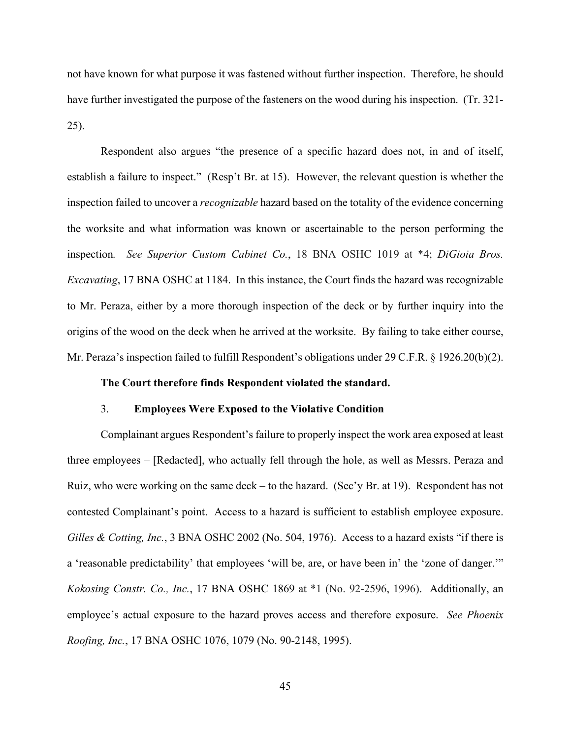not have known for what purpose it was fastened without further inspection. Therefore, he should have further investigated the purpose of the fasteners on the wood during his inspection. (Tr. 321- 25).

Respondent also argues "the presence of a specific hazard does not, in and of itself, establish a failure to inspect." (Resp't Br. at 15). However, the relevant question is whether the inspection failed to uncover a *recognizable* hazard based on the totality of the evidence concerning the worksite and what information was known or ascertainable to the person performing the inspection*. See Superior Custom Cabinet Co.*, 18 BNA OSHC 1019 at \*4; *DiGioia Bros. Excavating*, 17 BNA OSHC at 1184.In this instance, the Court finds the hazard was recognizable to Mr. Peraza, either by a more thorough inspection of the deck or by further inquiry into the origins of the wood on the deck when he arrived at the worksite. By failing to take either course, Mr. Peraza's inspection failed to fulfill Respondent's obligations under 29 C.F.R. § 1926.20(b)(2).

### **The Court therefore finds Respondent violated the standard.**

### 3. **Employees Were Exposed to the Violative Condition**

Complainant argues Respondent's failure to properly inspect the work area exposed at least three employees – [Redacted], who actually fell through the hole, as well as Messrs. Peraza and Ruiz, who were working on the same deck – to the hazard. (Sec'y Br. at 19). Respondent has not contested Complainant's point. Access to a hazard is sufficient to establish employee exposure. *Gilles & Cotting, Inc.*, 3 BNA OSHC 2002 (No. 504, 1976). Access to a hazard exists "if there is a 'reasonable predictability' that employees 'will be, are, or have been in' the 'zone of danger.'" *Kokosing Constr. Co., Inc.*, 17 BNA OSHC 1869 at \*1 (No. 92-2596, 1996). Additionally, an employee's actual exposure to the hazard proves access and therefore exposure. *See Phoenix Roofing, Inc.*, 17 BNA OSHC 1076, 1079 (No. 90-2148, 1995).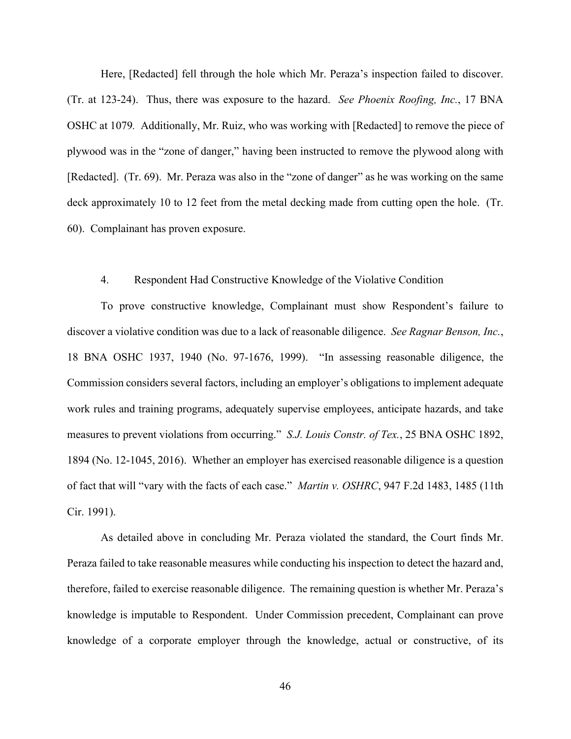Here, [Redacted] fell through the hole which Mr. Peraza's inspection failed to discover. (Tr. at 123-24). Thus, there was exposure to the hazard. *See Phoenix Roofing, Inc.*, 17 BNA OSHC at 1079*.* Additionally, Mr. Ruiz, who was working with [Redacted] to remove the piece of plywood was in the "zone of danger," having been instructed to remove the plywood along with [Redacted]. (Tr. 69). Mr. Peraza was also in the "zone of danger" as he was working on the same deck approximately 10 to 12 feet from the metal decking made from cutting open the hole. (Tr. 60). Complainant has proven exposure.

### 4. Respondent Had Constructive Knowledge of the Violative Condition

To prove constructive knowledge, Complainant must show Respondent's failure to discover a violative condition was due to a lack of reasonable diligence. *See Ragnar Benson, Inc.*, 18 BNA OSHC 1937, 1940 (No. 97-1676, 1999). "In assessing reasonable diligence, the Commission considers several factors, including an employer's obligations to implement adequate work rules and training programs, adequately supervise employees, anticipate hazards, and take measures to prevent violations from occurring." *S.J. Louis Constr. of Tex.*, 25 BNA OSHC 1892, 1894 (No. 12-1045, 2016). Whether an employer has exercised reasonable diligence is a question of fact that will "vary with the facts of each case." *Martin v. OSHRC*, 947 F.2d 1483, 1485 (11th Cir. 1991).

As detailed above in concluding Mr. Peraza violated the standard, the Court finds Mr. Peraza failed to take reasonable measures while conducting his inspection to detect the hazard and, therefore, failed to exercise reasonable diligence. The remaining question is whether Mr. Peraza's knowledge is imputable to Respondent. Under Commission precedent, Complainant can prove knowledge of a corporate employer through the knowledge, actual or constructive, of its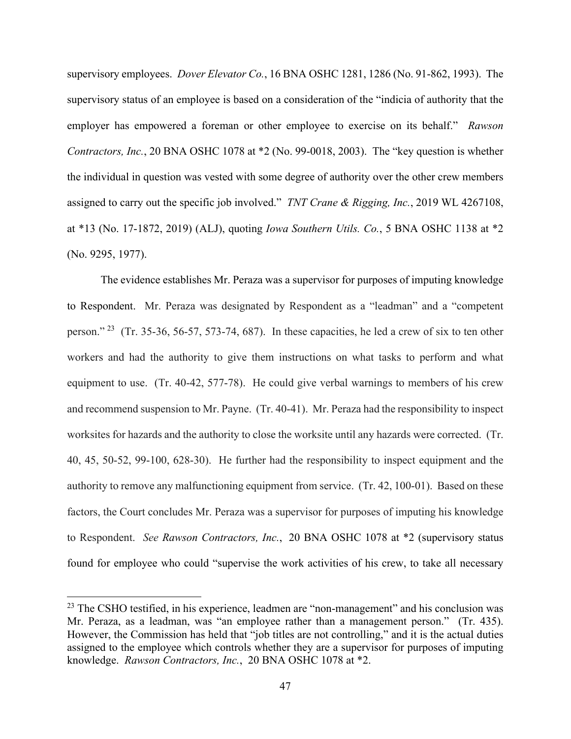supervisory employees. *Dover Elevator Co.*, 16 BNA OSHC 1281, 1286 (No. 91-862, 1993). The supervisory status of an employee is based on a consideration of the "indicia of authority that the employer has empowered a foreman or other employee to exercise on its behalf." *Rawson Contractors, Inc.*, 20 BNA OSHC 1078 at \*2 (No. 99-0018, 2003). The "key question is whether the individual in question was vested with some degree of authority over the other crew members assigned to carry out the specific job involved." *TNT Crane & Rigging, Inc.*, 2019 WL 4267108, at \*13 (No. 17-1872, 2019) (ALJ), quoting *Iowa Southern Utils. Co.*, 5 BNA OSHC 1138 at \*2 (No. 9295, 1977).

The evidence establishes Mr. Peraza was a supervisor for purposes of imputing knowledge to Respondent. Mr. Peraza was designated by Respondent as a "leadman" and a "competent person." [23](#page-46-0) (Tr. 35-36, 56-57, 573-74, 687). In these capacities, he led a crew of six to ten other workers and had the authority to give them instructions on what tasks to perform and what equipment to use. (Tr. 40-42, 577-78). He could give verbal warnings to members of his crew and recommend suspension to Mr. Payne. (Tr. 40-41). Mr. Peraza had the responsibility to inspect worksites for hazards and the authority to close the worksite until any hazards were corrected. (Tr. 40, 45, 50-52, 99-100, 628-30). He further had the responsibility to inspect equipment and the authority to remove any malfunctioning equipment from service. (Tr. 42, 100-01). Based on these factors, the Court concludes Mr. Peraza was a supervisor for purposes of imputing his knowledge to Respondent. *See Rawson Contractors, Inc.*, 20 BNA OSHC 1078 at \*2 (supervisory status found for employee who could "supervise the work activities of his crew, to take all necessary

<span id="page-46-0"></span> $23$  The CSHO testified, in his experience, leadmen are "non-management" and his conclusion was Mr. Peraza, as a leadman, was "an employee rather than a management person." (Tr. 435). However, the Commission has held that "job titles are not controlling," and it is the actual duties assigned to the employee which controls whether they are a supervisor for purposes of imputing knowledge. *Rawson Contractors, Inc.*, 20 BNA OSHC 1078 at \*2.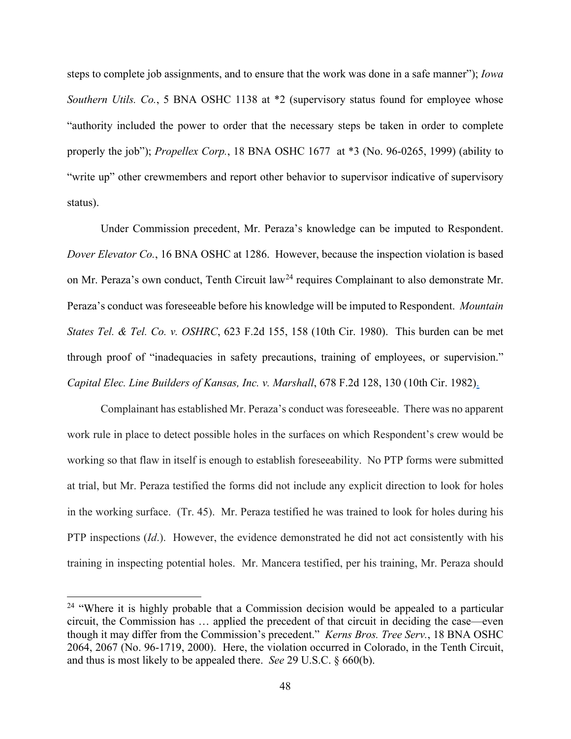steps to complete job assignments, and to ensure that the work was done in a safe manner"); *Iowa Southern Utils. Co.*, 5 BNA OSHC 1138 at \*2 (supervisory status found for employee whose "authority included the power to order that the necessary steps be taken in order to complete properly the job"); *Propellex Corp.*, 18 BNA OSHC 1677 at \*3 (No. 96-0265, 1999) (ability to "write up" other crewmembers and report other behavior to supervisor indicative of supervisory status).

Under Commission precedent, Mr. Peraza's knowledge can be imputed to Respondent. *Dover Elevator Co.*, 16 BNA OSHC at 1286. However, because the inspection violation is based on Mr. Peraza's own conduct, Tenth Circuit law<sup>[24](#page-47-0)</sup> requires Complainant to also demonstrate Mr. Peraza's conduct was foreseeable before his knowledge will be imputed to Respondent. *Mountain States Tel. & Tel. Co. v. OSHRC*, 623 F.2d 155, 158 (10th Cir. 1980). This burden can be met through proof of "inadequacies in safety precautions, training of employees, or supervision." *Capital Elec. Line Builders of Kansas, Inc. v. Marshall*, 678 F.2d 128, 130 (10th Cir. 1982).

Complainant has established Mr. Peraza's conduct was foreseeable. There was no apparent work rule in place to detect possible holes in the surfaces on which Respondent's crew would be working so that flaw in itself is enough to establish foreseeability. No PTP forms were submitted at trial, but Mr. Peraza testified the forms did not include any explicit direction to look for holes in the working surface. (Tr. 45). Mr. Peraza testified he was trained to look for holes during his PTP inspections (*Id*.). However, the evidence demonstrated he did not act consistently with his training in inspecting potential holes. Mr. Mancera testified, per his training, Mr. Peraza should

<span id="page-47-0"></span> $24$  "Where it is highly probable that a Commission decision would be appealed to a particular circuit, the Commission has … applied the precedent of that circuit in deciding the case—even though it may differ from the Commission's precedent." *Kerns Bros. Tree Serv.*, 18 BNA OSHC 2064, 2067 (No. 96-1719, 2000). Here, the violation occurred in Colorado, in the Tenth Circuit, and thus is most likely to be appealed there. *See* 29 U.S.C. § 660(b).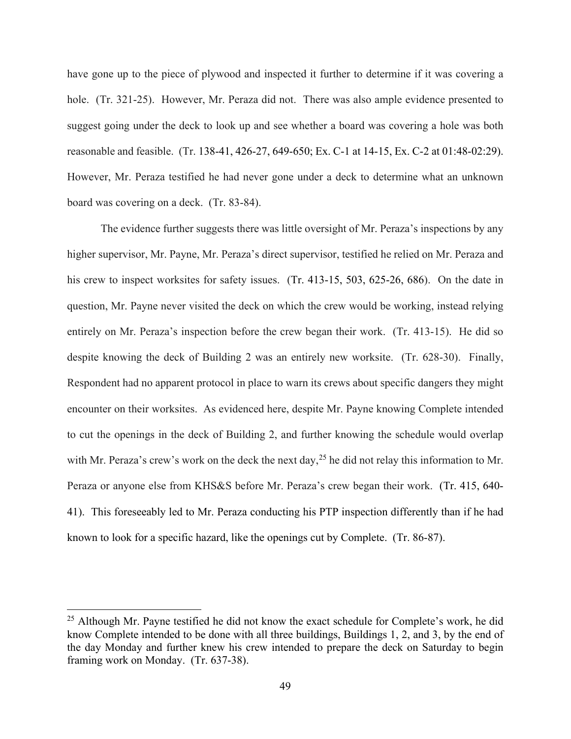have gone up to the piece of plywood and inspected it further to determine if it was covering a hole. (Tr. 321-25). However, Mr. Peraza did not. There was also ample evidence presented to suggest going under the deck to look up and see whether a board was covering a hole was both reasonable and feasible. (Tr. 138-41, 426-27, 649-650; Ex. C-1 at 14-15, Ex. C-2 at 01:48-02:29). However, Mr. Peraza testified he had never gone under a deck to determine what an unknown board was covering on a deck. (Tr. 83-84).

The evidence further suggests there was little oversight of Mr. Peraza's inspections by any higher supervisor, Mr. Payne, Mr. Peraza's direct supervisor, testified he relied on Mr. Peraza and his crew to inspect worksites for safety issues. (Tr. 413-15, 503, 625-26, 686). On the date in question, Mr. Payne never visited the deck on which the crew would be working, instead relying entirely on Mr. Peraza's inspection before the crew began their work. (Tr. 413-15). He did so despite knowing the deck of Building 2 was an entirely new worksite. (Tr. 628-30). Finally, Respondent had no apparent protocol in place to warn its crews about specific dangers they might encounter on their worksites. As evidenced here, despite Mr. Payne knowing Complete intended to cut the openings in the deck of Building 2, and further knowing the schedule would overlap with Mr. Peraza's crew's work on the deck the next day,  $^{25}$  $^{25}$  $^{25}$  he did not relay this information to Mr. Peraza or anyone else from KHS&S before Mr. Peraza's crew began their work. (Tr. 415, 640- 41). This foreseeably led to Mr. Peraza conducting his PTP inspection differently than if he had known to look for a specific hazard, like the openings cut by Complete. (Tr. 86-87).

<span id="page-48-0"></span> $25$  Although Mr. Payne testified he did not know the exact schedule for Complete's work, he did know Complete intended to be done with all three buildings, Buildings 1, 2, and 3, by the end of the day Monday and further knew his crew intended to prepare the deck on Saturday to begin framing work on Monday. (Tr. 637-38).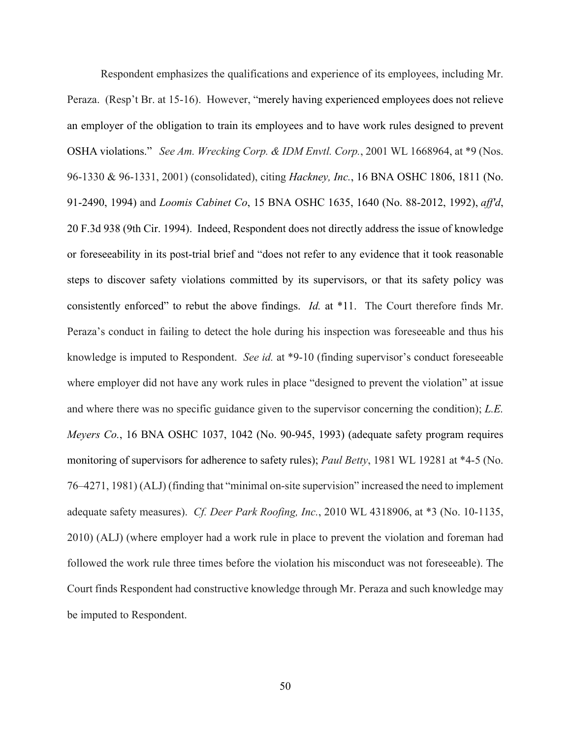Respondent emphasizes the qualifications and experience of its employees, including Mr. Peraza. (Resp't Br. at 15-16). However, "merely having experienced employees does not relieve an employer of the obligation to train its employees and to have work rules designed to prevent OSHA violations." *See Am. Wrecking Corp. & IDM Envtl. Corp.*, 2001 WL 1668964, at \*9 (Nos. 96-1330 & 96-1331, 2001) (consolidated), citing *Hackney, Inc.*, 16 BNA OSHC 1806, 1811 (No. 91-2490, 1994) and *Loomis Cabinet Co*, 15 BNA OSHC 1635, 1640 (No. 88-2012, 1992), *aff'd*, 20 F.3d 938 (9th Cir. 1994). Indeed, Respondent does not directly address the issue of knowledge or foreseeability in its post-trial brief and "does not refer to any evidence that it took reasonable steps to discover safety violations committed by its supervisors, or that its safety policy was consistently enforced" to rebut the above findings. *Id.* at \*11. The Court therefore finds Mr. Peraza's conduct in failing to detect the hole during his inspection was foreseeable and thus his knowledge is imputed to Respondent. *See id.* at \*9-10 (finding supervisor's conduct foreseeable where employer did not have any work rules in place "designed to prevent the violation" at issue and where there was no specific guidance given to the supervisor concerning the condition); *L.E. Meyers Co.*, 16 BNA OSHC 1037, 1042 (No. 90-945, 1993) (adequate safety program requires monitoring of supervisors for adherence to safety rules); *Paul Betty*, 1981 WL 19281 at \*4-5 (No. 76–4271, 1981) (ALJ) (finding that "minimal on-site supervision" increased the need to implement adequate safety measures). *Cf. Deer Park Roofing, Inc.*, 2010 WL 4318906, at \*3 (No. 10-1135, 2010) (ALJ) (where employer had a work rule in place to prevent the violation and foreman had followed the work rule three times before the violation his misconduct was not foreseeable). The Court finds Respondent had constructive knowledge through Mr. Peraza and such knowledge may be imputed to Respondent.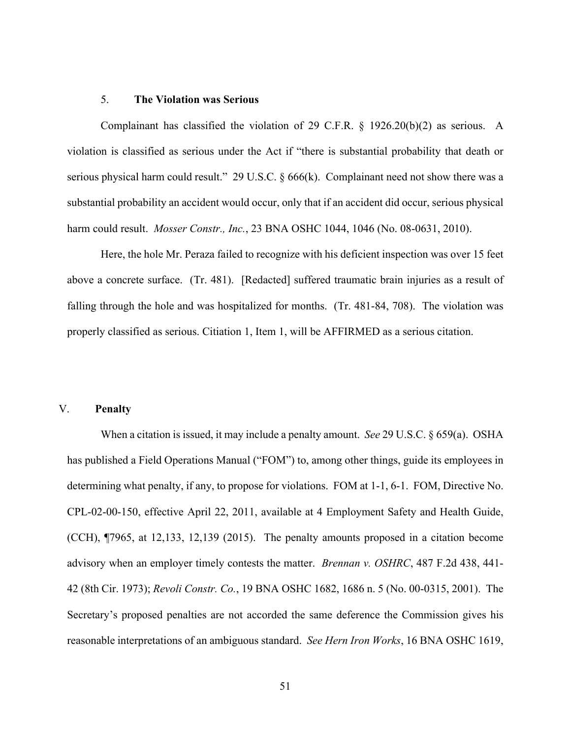#### 5. **The Violation was Serious**

Complainant has classified the violation of 29 C.F.R.  $\S$  1926.20(b)(2) as serious. A violation is classified as serious under the Act if "there is substantial probability that death or serious physical harm could result." 29 U.S.C. § 666(k). Complainant need not show there was a substantial probability an accident would occur, only that if an accident did occur, serious physical harm could result. *Mosser Constr., Inc.*, 23 BNA OSHC 1044, 1046 (No. 08-0631, 2010).

Here, the hole Mr. Peraza failed to recognize with his deficient inspection was over 15 feet above a concrete surface. (Tr. 481). [Redacted] suffered traumatic brain injuries as a result of falling through the hole and was hospitalized for months. (Tr. 481-84, 708). The violation was properly classified as serious. Citiation 1, Item 1, will be AFFIRMED as a serious citation.

### V. **Penalty**

When a citation is issued, it may include a penalty amount. *See* 29 U.S.C. § 659(a). OSHA has published a Field Operations Manual ("FOM") to, among other things, guide its employees in determining what penalty, if any, to propose for violations. FOM at 1-1, 6-1. FOM, Directive No. CPL-02-00-150, effective April 22, 2011, available at 4 Employment Safety and Health Guide, (CCH), ¶7965, at 12,133, 12,139 (2015). The penalty amounts proposed in a citation become advisory when an employer timely contests the matter. *Brennan v. OSHRC*, 487 F.2d 438, 441- 42 (8th Cir. 1973); *Revoli Constr. Co.*, 19 BNA OSHC 1682, 1686 n. 5 (No. 00-0315, 2001). The Secretary's proposed penalties are not accorded the same deference the Commission gives his reasonable interpretations of an ambiguous standard. *See Hern Iron Works*, 16 BNA OSHC 1619,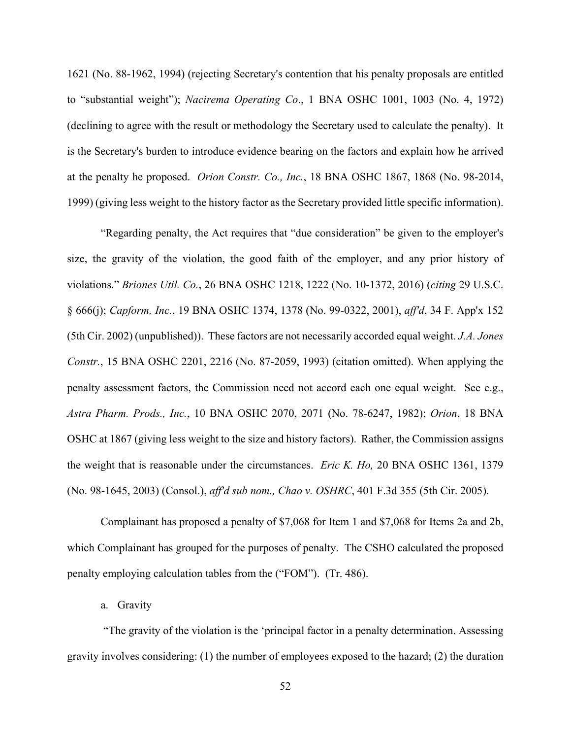1621 (No. 88-1962, 1994) (rejecting Secretary's contention that his penalty proposals are entitled to "substantial weight"); *Nacirema Operating Co*., 1 BNA OSHC 1001, 1003 (No. 4, 1972) (declining to agree with the result or methodology the Secretary used to calculate the penalty). It is the Secretary's burden to introduce evidence bearing on the factors and explain how he arrived at the penalty he proposed. *Orion Constr. Co., Inc.*, 18 BNA OSHC 1867, 1868 (No. 98-2014, 1999) (giving less weight to the history factor as the Secretary provided little specific information).

"Regarding penalty, the Act requires that "due consideration" be given to the employer's size, the gravity of the violation, the good faith of the employer, and any prior history of violations." *Briones Util. Co.*, 26 BNA OSHC 1218, 1222 (No. 10-1372, 2016) (*citing* 29 U.S.C. § 666(j); *Capform, Inc.*, 19 BNA OSHC 1374, 1378 (No. 99-0322, 2001), *aff'd*, 34 F. App'x 152 (5th Cir. 2002) (unpublished)). These factors are not necessarily accorded equal weight. *J.A. Jones Constr.*, 15 BNA OSHC 2201, 2216 (No. 87-2059, 1993) (citation omitted). When applying the penalty assessment factors, the Commission need not accord each one equal weight. See e.g., *Astra Pharm. Prods., Inc.*, 10 BNA OSHC 2070, 2071 (No. 78-6247, 1982); *Orion*, 18 BNA OSHC at 1867 (giving less weight to the size and history factors). Rather, the Commission assigns the weight that is reasonable under the circumstances. *Eric K. Ho,* 20 BNA OSHC 1361, 1379 (No. 98-1645, 2003) (Consol.), *aff'd sub nom., Chao v. OSHRC*, 401 F.3d 355 (5th Cir. 2005).

Complainant has proposed a penalty of \$7,068 for Item 1 and \$7,068 for Items 2a and 2b, which Complainant has grouped for the purposes of penalty. The CSHO calculated the proposed penalty employing calculation tables from the ("FOM"). (Tr. 486).

a. Gravity

"The gravity of the violation is the 'principal factor in a penalty determination. Assessing gravity involves considering: (1) the number of employees exposed to the hazard; (2) the duration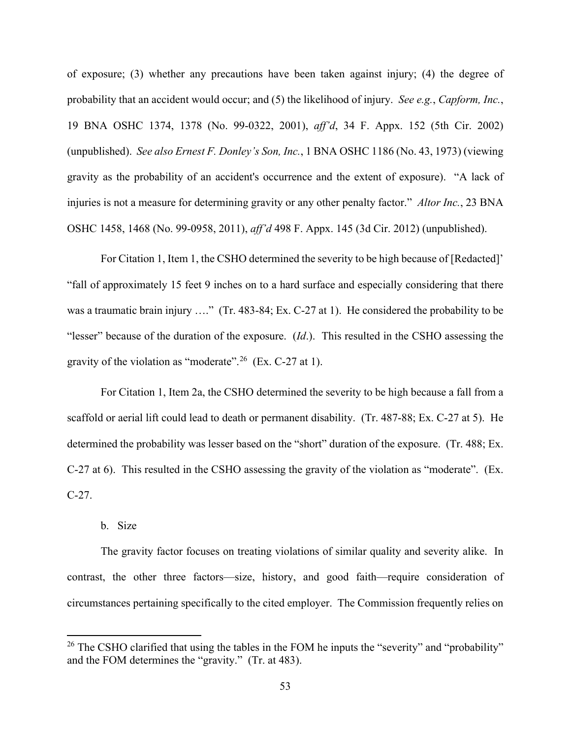of exposure; (3) whether any precautions have been taken against injury; (4) the degree of probability that an accident would occur; and (5) the likelihood of injury. *See e.g.*, *Capform, Inc.*, 19 BNA OSHC 1374, 1378 (No. 99-0322, 2001), *aff'd*, 34 F. Appx. 152 (5th Cir. 2002) (unpublished). *See also Ernest F. Donley's Son, Inc.*, 1 BNA OSHC 1186 (No. 43, 1973) (viewing gravity as the probability of an accident's occurrence and the extent of exposure). "A lack of injuries is not a measure for determining gravity or any other penalty factor." *Altor Inc.*, 23 BNA OSHC 1458, 1468 (No. 99-0958, 2011), *aff'd* 498 F. Appx. 145 (3d Cir. 2012) (unpublished).

For Citation 1, Item 1, the CSHO determined the severity to be high because of [Redacted]' "fall of approximately 15 feet 9 inches on to a hard surface and especially considering that there was a traumatic brain injury …." (Tr. 483-84; Ex. C-27 at 1). He considered the probability to be "lesser" because of the duration of the exposure. (*Id*.). This resulted in the CSHO assessing the gravity of the violation as "moderate".<sup>[26](#page-52-0)</sup> (Ex. C-27 at 1).

For Citation 1, Item 2a, the CSHO determined the severity to be high because a fall from a scaffold or aerial lift could lead to death or permanent disability. (Tr. 487-88; Ex. C-27 at 5). He determined the probability was lesser based on the "short" duration of the exposure. (Tr. 488; Ex. C-27 at 6). This resulted in the CSHO assessing the gravity of the violation as "moderate". (Ex. C-27.

### b. Size

The gravity factor focuses on treating violations of similar quality and severity alike. In contrast, the other three factors—size, history, and good faith—require consideration of circumstances pertaining specifically to the cited employer. The Commission frequently relies on

<span id="page-52-0"></span><sup>&</sup>lt;sup>26</sup> The CSHO clarified that using the tables in the FOM he inputs the "severity" and "probability" and the FOM determines the "gravity." (Tr. at 483).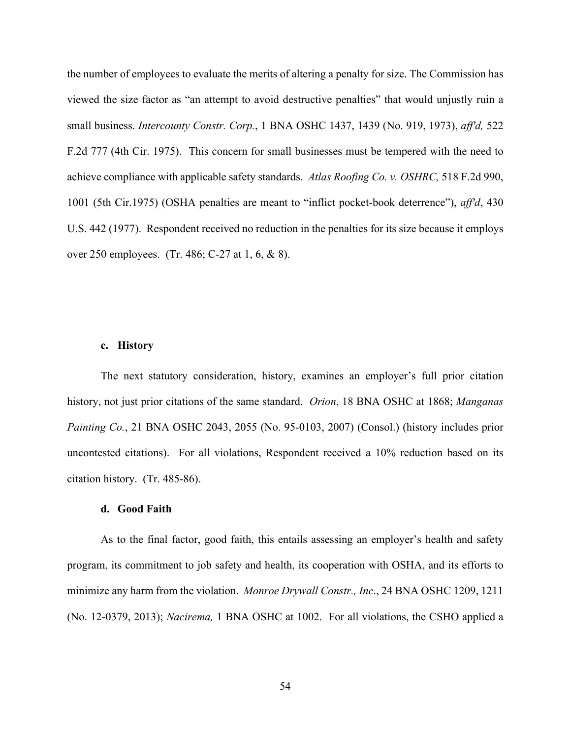the number of employees to evaluate the merits of altering a penalty for size. The Commission has viewed the size factor as "an attempt to avoid destructive penalties" that would unjustly ruin a small business. *Intercounty Constr. Corp.*, 1 BNA OSHC 1437, 1439 (No. 919, 1973), *aff'd,* 522 F.2d 777 (4th Cir. 1975). This concern for small businesses must be tempered with the need to achieve compliance with applicable safety standards. *Atlas Roofing Co. v. OSHRC,* 518 F.2d 990, 1001 (5th Cir.1975) (OSHA penalties are meant to "inflict pocket-book deterrence"), *aff'd*, 430 U.S. 442 (1977). Respondent received no reduction in the penalties for its size because it employs over 250 employees. (Tr. 486; C-27 at 1, 6, & 8).

### **c. History**

The next statutory consideration, history, examines an employer's full prior citation history, not just prior citations of the same standard. *Orion*, 18 BNA OSHC at 1868; *Manganas Painting Co.*, 21 BNA OSHC 2043, 2055 (No. 95-0103, 2007) (Consol.) (history includes prior uncontested citations). For all violations, Respondent received a 10% reduction based on its citation history. (Tr. 485-86).

## **d. Good Faith**

As to the final factor, good faith, this entails assessing an employer's health and safety program, its commitment to job safety and health, its cooperation with OSHA, and its efforts to minimize any harm from the violation. *Monroe Drywall Constr., Inc*., 24 BNA OSHC 1209, 1211 (No. 12-0379, 2013); *Nacirema,* 1 BNA OSHC at 1002. For all violations, the CSHO applied a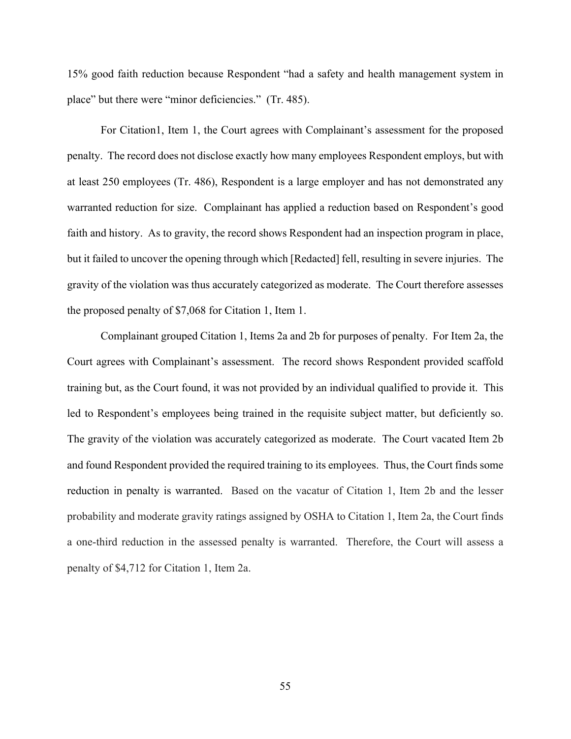15% good faith reduction because Respondent "had a safety and health management system in place" but there were "minor deficiencies." (Tr. 485).

For Citation1, Item 1, the Court agrees with Complainant's assessment for the proposed penalty. The record does not disclose exactly how many employees Respondent employs, but with at least 250 employees (Tr. 486), Respondent is a large employer and has not demonstrated any warranted reduction for size. Complainant has applied a reduction based on Respondent's good faith and history. As to gravity, the record shows Respondent had an inspection program in place, but it failed to uncover the opening through which [Redacted] fell, resulting in severe injuries. The gravity of the violation was thus accurately categorized as moderate. The Court therefore assesses the proposed penalty of \$7,068 for Citation 1, Item 1.

Complainant grouped Citation 1, Items 2a and 2b for purposes of penalty. For Item 2a, the Court agrees with Complainant's assessment. The record shows Respondent provided scaffold training but, as the Court found, it was not provided by an individual qualified to provide it. This led to Respondent's employees being trained in the requisite subject matter, but deficiently so. The gravity of the violation was accurately categorized as moderate. The Court vacated Item 2b and found Respondent provided the required training to its employees. Thus, the Court finds some reduction in penalty is warranted. Based on the vacatur of Citation 1, Item 2b and the lesser probability and moderate gravity ratings assigned by OSHA to Citation 1, Item 2a, the Court finds a one-third reduction in the assessed penalty is warranted. Therefore, the Court will assess a penalty of \$4,712 for Citation 1, Item 2a.

55